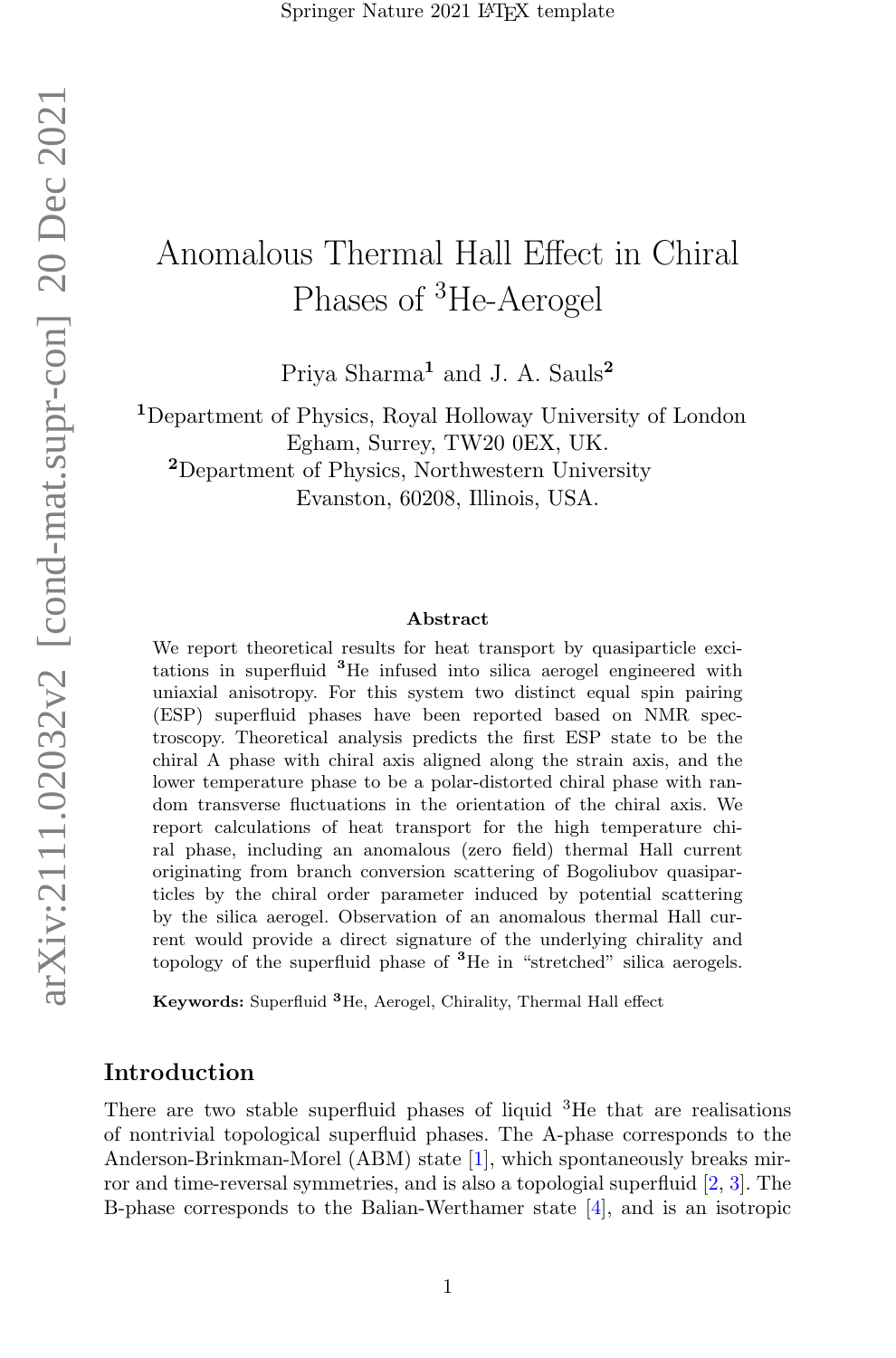# arXiv:2111.02032v2 [cond-mat.supr-con] 20 Dec 2021 arXiv:2111.02032v2 [cond-mat.supr-con] 20 Dec 2021

# Anomalous Thermal Hall Effect in Chiral Phases of <sup>3</sup>He-Aerogel

Priya Sharma<sup>1</sup> and J. A. Sauls<sup>2</sup>

<sup>1</sup>Department of Physics, Royal Holloway University of London Egham, Surrey, TW20 0EX, UK. <sup>2</sup>Department of Physics, Northwestern University

Evanston, 60208, Illinois, USA.

### Abstract

We report theoretical results for heat transport by quasiparticle excitations in superfluid <sup>3</sup>He infused into silica aerogel engineered with uniaxial anisotropy. For this system two distinct equal spin pairing (ESP) superfluid phases have been reported based on NMR spectroscopy. Theoretical analysis predicts the first ESP state to be the chiral A phase with chiral axis aligned along the strain axis, and the lower temperature phase to be a polar-distorted chiral phase with random transverse fluctuations in the orientation of the chiral axis. We report calculations of heat transport for the high temperature chiral phase, including an anomalous (zero field) thermal Hall current originating from branch conversion scattering of Bogoliubov quasiparticles by the chiral order parameter induced by potential scattering by the silica aerogel. Observation of an anomalous thermal Hall current would provide a direct signature of the underlying chirality and topology of the superfluid phase of <sup>3</sup>He in "stretched" silica aerogels.

Keywords: Superfluid <sup>3</sup>He, Aerogel, Chirality, Thermal Hall effect

### Introduction

There are two stable superfluid phases of liquid  ${}^{3}$ He that are realisations of nontrivial topological superfluid phases. The A-phase corresponds to the Anderson-Brinkman-Morel (ABM) state [\[1\]](#page-13-0), which spontaneously breaks mirror and time-reversal symmetries, and is also a topologial superfluid [\[2,](#page-13-1) [3\]](#page-13-2). The B-phase corresponds to the Balian-Werthamer state [\[4\]](#page-13-3), and is an isotropic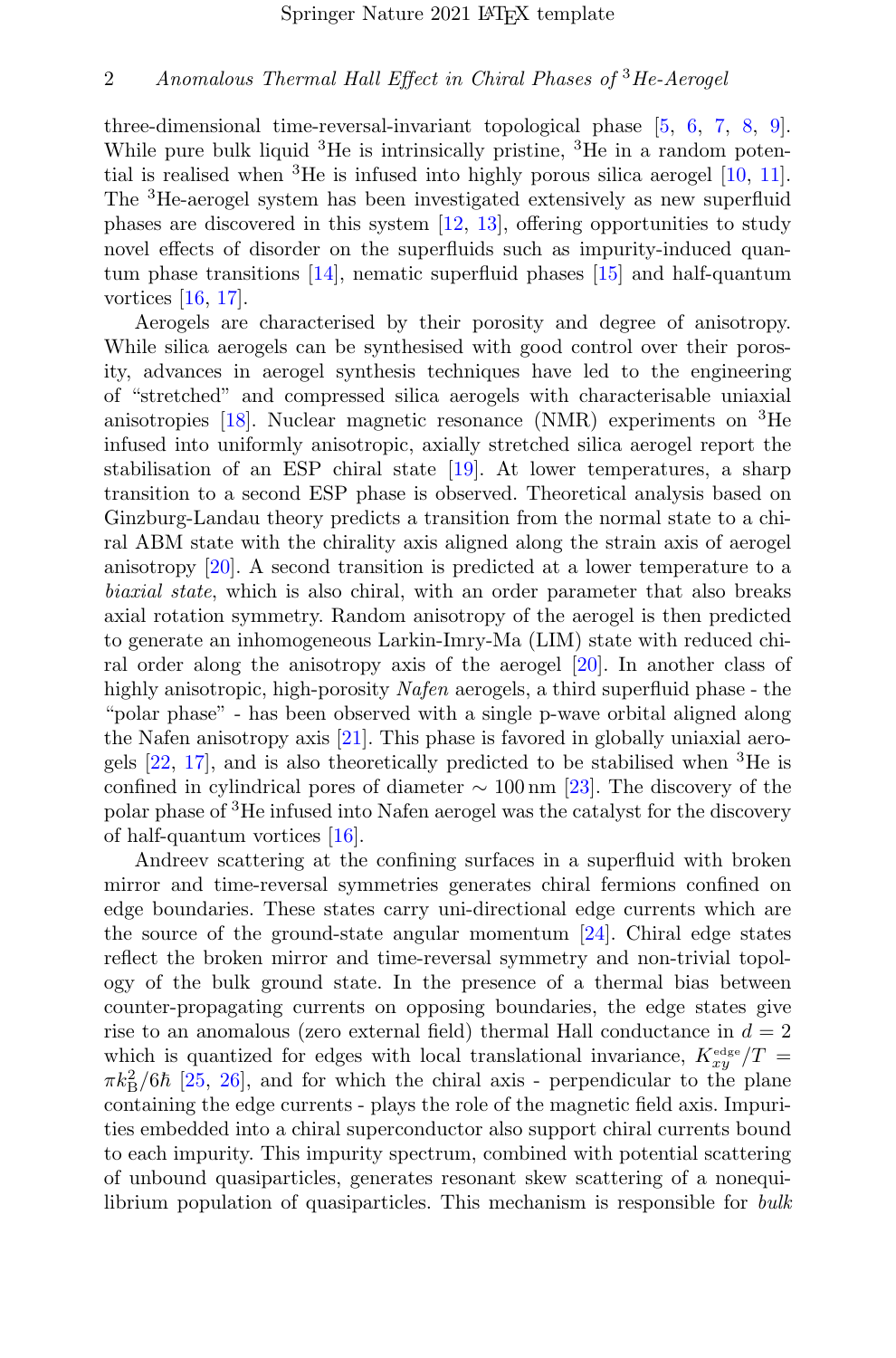three-dimensional time-reversal-invariant topological phase [\[5,](#page-13-4) [6,](#page-13-5) [7,](#page-14-0) [8,](#page-14-1) [9\]](#page-14-2). While pure bulk liquid  ${}^{3}$ He is intrinsically pristine,  ${}^{3}$ He in a random potential is realised when  ${}^{3}$ He is infused into highly porous silica aerogel [\[10,](#page-14-3) [11\]](#page-14-4). The <sup>3</sup>He-aerogel system has been investigated extensively as new superfluid phases are discovered in this system [\[12,](#page-14-5) [13\]](#page-14-6), offering opportunities to study novel effects of disorder on the superfluids such as impurity-induced quantum phase transitions [\[14\]](#page-14-7), nematic superfluid phases [\[15\]](#page-14-8) and half-quantum vortices [\[16,](#page-14-9) [17\]](#page-14-10).

Aerogels are characterised by their porosity and degree of anisotropy. While silica aerogels can be synthesised with good control over their porosity, advances in aerogel synthesis techniques have led to the engineering of "stretched" and compressed silica aerogels with characterisable uniaxial anisotropies  $[18]$ . Nuclear magnetic resonance (NMR) experiments on <sup>3</sup>He infused into uniformly anisotropic, axially stretched silica aerogel report the stabilisation of an ESP chiral state [\[19\]](#page-14-12). At lower temperatures, a sharp transition to a second ESP phase is observed. Theoretical analysis based on Ginzburg-Landau theory predicts a transition from the normal state to a chiral ABM state with the chirality axis aligned along the strain axis of aerogel anisotropy [\[20\]](#page-14-13). A second transition is predicted at a lower temperature to a biaxial state, which is also chiral, with an order parameter that also breaks axial rotation symmetry. Random anisotropy of the aerogel is then predicted to generate an inhomogeneous Larkin-Imry-Ma (LIM) state with reduced chiral order along the anisotropy axis of the aerogel [\[20\]](#page-14-13). In another class of highly anisotropic, high-porosity Nafen aerogels, a third superfluid phase - the "polar phase" - has been observed with a single p-wave orbital aligned along the Nafen anisotropy axis [\[21\]](#page-14-14). This phase is favored in globally uniaxial aerogels  $[22, 17]$  $[22, 17]$ , and is also theoretically predicted to be stabilised when <sup>3</sup>He is confined in cylindrical pores of diameter  $\sim 100 \,\mathrm{nm}$  [\[23\]](#page-14-16). The discovery of the polar phase of <sup>3</sup>He infused into Nafen aerogel was the catalyst for the discovery of half-quantum vortices [\[16\]](#page-14-9).

Andreev scattering at the confining surfaces in a superfluid with broken mirror and time-reversal symmetries generates chiral fermions confined on edge boundaries. These states carry uni-directional edge currents which are the source of the ground-state angular momentum  $[24]$ . Chiral edge states reflect the broken mirror and time-reversal symmetry and non-trivial topology of the bulk ground state. In the presence of a thermal bias between counter-propagating currents on opposing boundaries, the edge states give rise to an anomalous (zero external field) thermal Hall conductance in  $d = 2$ which is quantized for edges with local translational invariance,  $K_{xy}^{\text{edge}}/T =$  $\pi k_{\rm B}^2/6\hbar$  [\[25,](#page-14-18) [26\]](#page-14-19), and for which the chiral axis - perpendicular to the plane containing the edge currents - plays the role of the magnetic field axis. Impurities embedded into a chiral superconductor also support chiral currents bound to each impurity. This impurity spectrum, combined with potential scattering of unbound quasiparticles, generates resonant skew scattering of a nonequilibrium population of quasiparticles. This mechanism is responsible for *bulk*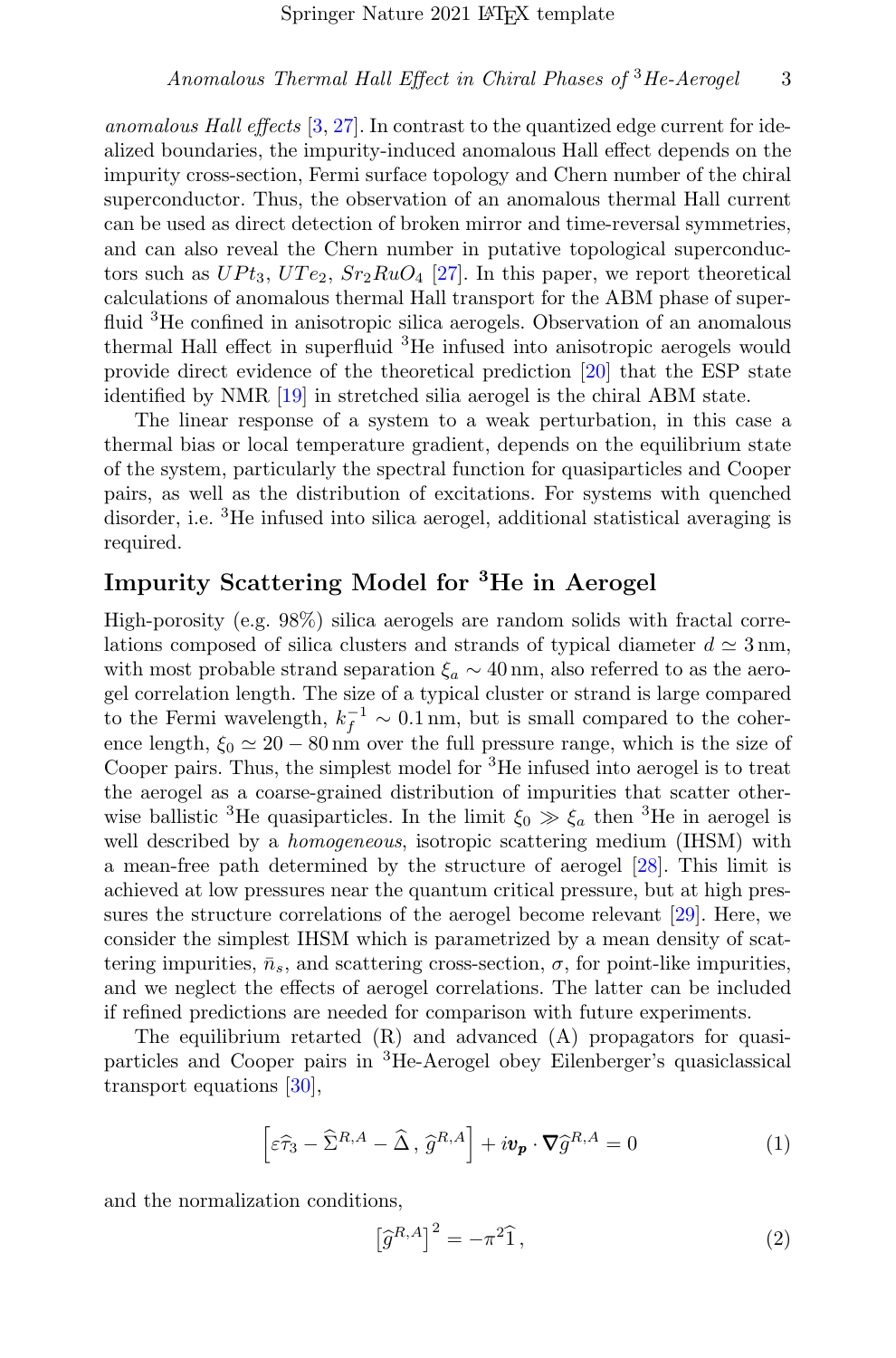anomalous Hall effects [\[3,](#page-13-2) [27\]](#page-14-20). In contrast to the quantized edge current for idealized boundaries, the impurity-induced anomalous Hall effect depends on the impurity cross-section, Fermi surface topology and Chern number of the chiral superconductor. Thus, the observation of an anomalous thermal Hall current can be used as direct detection of broken mirror and time-reversal symmetries, and can also reveal the Chern number in putative topological superconductors such as  $UPt_3$ ,  $UTe_2$ ,  $Sr_2RuO_4$  [\[27\]](#page-14-20). In this paper, we report theoretical calculations of anomalous thermal Hall transport for the ABM phase of superfluid <sup>3</sup>He confined in anisotropic silica aerogels. Observation of an anomalous thermal Hall effect in superfluid <sup>3</sup>He infused into anisotropic aerogels would provide direct evidence of the theoretical prediction [\[20\]](#page-14-13) that the ESP state identified by NMR [\[19\]](#page-14-12) in stretched silia aerogel is the chiral ABM state.

The linear response of a system to a weak perturbation, in this case a thermal bias or local temperature gradient, depends on the equilibrium state of the system, particularly the spectral function for quasiparticles and Cooper pairs, as well as the distribution of excitations. For systems with quenched disorder, i.e. <sup>3</sup>He infused into silica aerogel, additional statistical averaging is required.

# Impurity Scattering Model for <sup>3</sup>He in Aerogel

High-porosity (e.g. 98%) silica aerogels are random solids with fractal correlations composed of silica clusters and strands of typical diameter  $d \simeq 3 \text{ nm}$ , with most probable strand separation  $\xi_a \sim 40 \text{ nm}$ , also referred to as the aerogel correlation length. The size of a typical cluster or strand is large compared to the Fermi wavelength,  $k_f^{-1} \sim 0.1 \,\text{nm}$ , but is small compared to the coherence length,  $\xi_0 \simeq 20 - 80$  nm over the full pressure range, which is the size of Cooper pairs. Thus, the simplest model for <sup>3</sup>He infused into aerogel is to treat the aerogel as a coarse-grained distribution of impurities that scatter otherwise ballistic <sup>3</sup>He quasiparticles. In the limit  $\xi_0 \gg \xi_a$  then <sup>3</sup>He in aerogel is well described by a *homogeneous*, isotropic scattering medium (IHSM) with a mean-free path determined by the structure of aerogel [\[28\]](#page-15-0). This limit is achieved at low pressures near the quantum critical pressure, but at high pressures the structure correlations of the aerogel become relevant [\[29\]](#page-15-1). Here, we consider the simplest IHSM which is parametrized by a mean density of scattering impurities,  $\bar{n}_s$ , and scattering cross-section,  $\sigma$ , for point-like impurities, and we neglect the effects of aerogel correlations. The latter can be included if refined predictions are needed for comparison with future experiments.

The equilibrium retarted (R) and advanced (A) propagators for quasiparticles and Cooper pairs in <sup>3</sup>He-Aerogel obey Eilenberger's quasiclassical transport equations [\[30\]](#page-15-2),

$$
\left[\varepsilon\widehat{\tau}_{3} - \widehat{\Sigma}^{R,A} - \widehat{\Delta}, \widehat{g}^{R,A}\right] + i\boldsymbol{v}_{\boldsymbol{p}} \cdot \boldsymbol{\nabla} \widehat{g}^{R,A} = 0
$$
\n(1)

and the normalization conditions,

$$
\left[\hat{g}^{R,A}\right]^2 = -\pi^2 \hat{1},\tag{2}
$$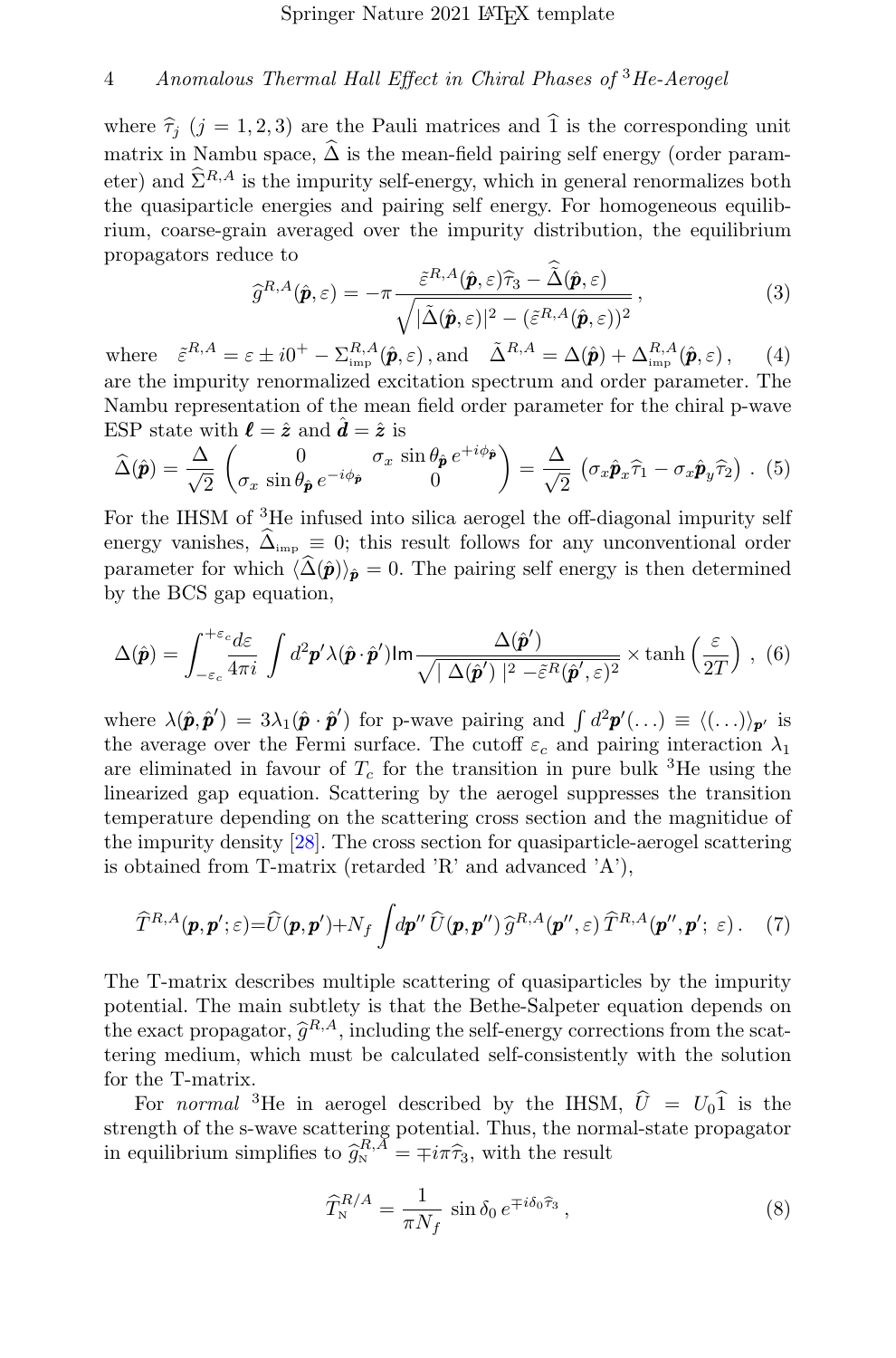where  $\hat{\tau}_i$  (j = 1, 2, 3) are the Pauli matrices and  $\hat{1}$  is the corresponding unit matrix in Nambu space,  $\widehat{\Delta}$  is the mean-field pairing self energy (order parameter) and  $\widehat{\Sigma}^{R,A}$  is the impurity self-energy, which in general renormalizes both the quasiparticle energies and pairing self energy. For homogeneous equilibrium, coarse-grain averaged over the impurity distribution, the equilibrium propagators reduce to

<span id="page-3-0"></span>
$$
\widehat{g}^{R,A}(\hat{\boldsymbol{p}},\varepsilon) = -\pi \frac{\tilde{\varepsilon}^{R,A}(\hat{\boldsymbol{p}},\varepsilon)\widehat{\tau}_3 - \tilde{\Delta}(\hat{\boldsymbol{p}},\varepsilon)}{\sqrt{|\tilde{\Delta}(\hat{\boldsymbol{p}},\varepsilon)|^2 - (\tilde{\varepsilon}^{R,A}(\hat{\boldsymbol{p}},\varepsilon))^2}},
$$
\n(3)

where  $\tilde{\varepsilon}^{R,A} = \varepsilon \pm i0^+ - \sum_{\text{imp}}^{R,A} (\hat{\mathbf{p}}, \varepsilon)$ , and  $\tilde{\Delta}^{R,A} = \Delta(\hat{\mathbf{p}}) + \Delta_{\text{imp}}^{R,A} (\hat{\mathbf{p}}, \varepsilon)$ , (4) are the impurity renormalized excitation spectrum and order parameter. The Nambu representation of the mean field order parameter for the chiral p-wave ESP state with  $\hat{\mathbf{l}} = \hat{\mathbf{z}}$  and  $\hat{\mathbf{d}} = \hat{\mathbf{z}}$  is

$$
\widehat{\Delta}(\widehat{\boldsymbol{p}}) = \frac{\Delta}{\sqrt{2}} \begin{pmatrix} 0 & \sigma_x \sin \theta_{\widehat{\boldsymbol{p}}} e^{+i\phi_{\widehat{\boldsymbol{p}}}} \\ \sigma_x \sin \theta_{\widehat{\boldsymbol{p}}} e^{-i\phi_{\widehat{\boldsymbol{p}}}} & 0 \end{pmatrix} = \frac{\Delta}{\sqrt{2}} \left( \sigma_x \widehat{\boldsymbol{p}}_x \widehat{\tau}_1 - \sigma_x \widehat{\boldsymbol{p}}_y \widehat{\tau}_2 \right) . (5)
$$

For the IHSM of <sup>3</sup>He infused into silica aerogel the off-diagonal impurity self energy vanishes,  $\hat{\Delta}_{\text{imp}} \equiv 0$ ; this result follows for any unconventional order parameter for which  $\langle \hat{\Delta}(\hat{\boldsymbol{p}}) \rangle_{\hat{\boldsymbol{p}}} = 0$ . The pairing self energy is then determined by the BCS gap equation,

$$
\Delta(\hat{\mathbf{p}}) = \int_{-\varepsilon_c}^{+\varepsilon_c} \frac{d\varepsilon}{4\pi i} \int d^2 \mathbf{p}' \lambda(\hat{\mathbf{p}} \cdot \hat{\mathbf{p}}') \mathrm{Im} \frac{\Delta(\hat{\mathbf{p}}')}{\sqrt{|\Delta(\hat{\mathbf{p}}')|^2 - \tilde{\varepsilon}^R(\hat{\mathbf{p}}', \varepsilon)^2}} \times \tanh\left(\frac{\varepsilon}{2T}\right), (6)
$$

where  $\lambda(\hat{\mathbf{p}}, \hat{\mathbf{p}}') = 3\lambda_1(\hat{\mathbf{p}} \cdot \hat{\mathbf{p}}')$  for p-wave pairing and  $\int d^2\mathbf{p}'(\ldots) \equiv \langle (\ldots) \rangle_{\mathbf{p}'}$  is the average over the Fermi surface. The cutoff  $\varepsilon_c$  and pairing interaction  $\lambda_1$ are eliminated in favour of  $T_c$  for the transition in pure bulk <sup>3</sup>He using the linearized gap equation. Scattering by the aerogel suppresses the transition temperature depending on the scattering cross section and the magnitidue of the impurity density [\[28\]](#page-15-0). The cross section for quasiparticle-aerogel scattering is obtained from T-matrix (retarded 'R' and advanced 'A'),

<span id="page-3-1"></span>
$$
\widehat{T}^{R,A}(\boldsymbol{p},\boldsymbol{p}';\varepsilon)=\widehat{U}(\boldsymbol{p},\boldsymbol{p}')+N_f\int d\boldsymbol{p}''\,\widehat{U}(\boldsymbol{p},\boldsymbol{p}'')\,\widehat{g}^{R,A}(\boldsymbol{p}'',\varepsilon)\,\widehat{T}^{R,A}(\boldsymbol{p}'',\boldsymbol{p}';\,\varepsilon). \tag{7}
$$

The T-matrix describes multiple scattering of quasiparticles by the impurity potential. The main subtlety is that the Bethe-Salpeter equation depends on the exact propagator,  $\hat{g}^{R,A}$ , including the self-energy corrections from the scat-<br>terms modum, which must be calculated self-consistently with the solution tering medium, which must be calculated self-consistently with the solution for the T-matrix.

For *normal* <sup>3</sup>He in aerogel described by the IHSM,  $\hat{U} = U_0 \hat{1}$  is the strength of the s-wave scattering potential. Thus, the normal-state propagator in equilibrium simplifies to  $\hat{g}_{N}^{R,A} = \mp i\pi \hat{\tau}_{3}$ , with the result

$$
\widehat{T}_{N}^{R/A} = \frac{1}{\pi N_f} \sin \delta_0 e^{\mp i \delta_0 \widehat{\tau}_3},\qquad(8)
$$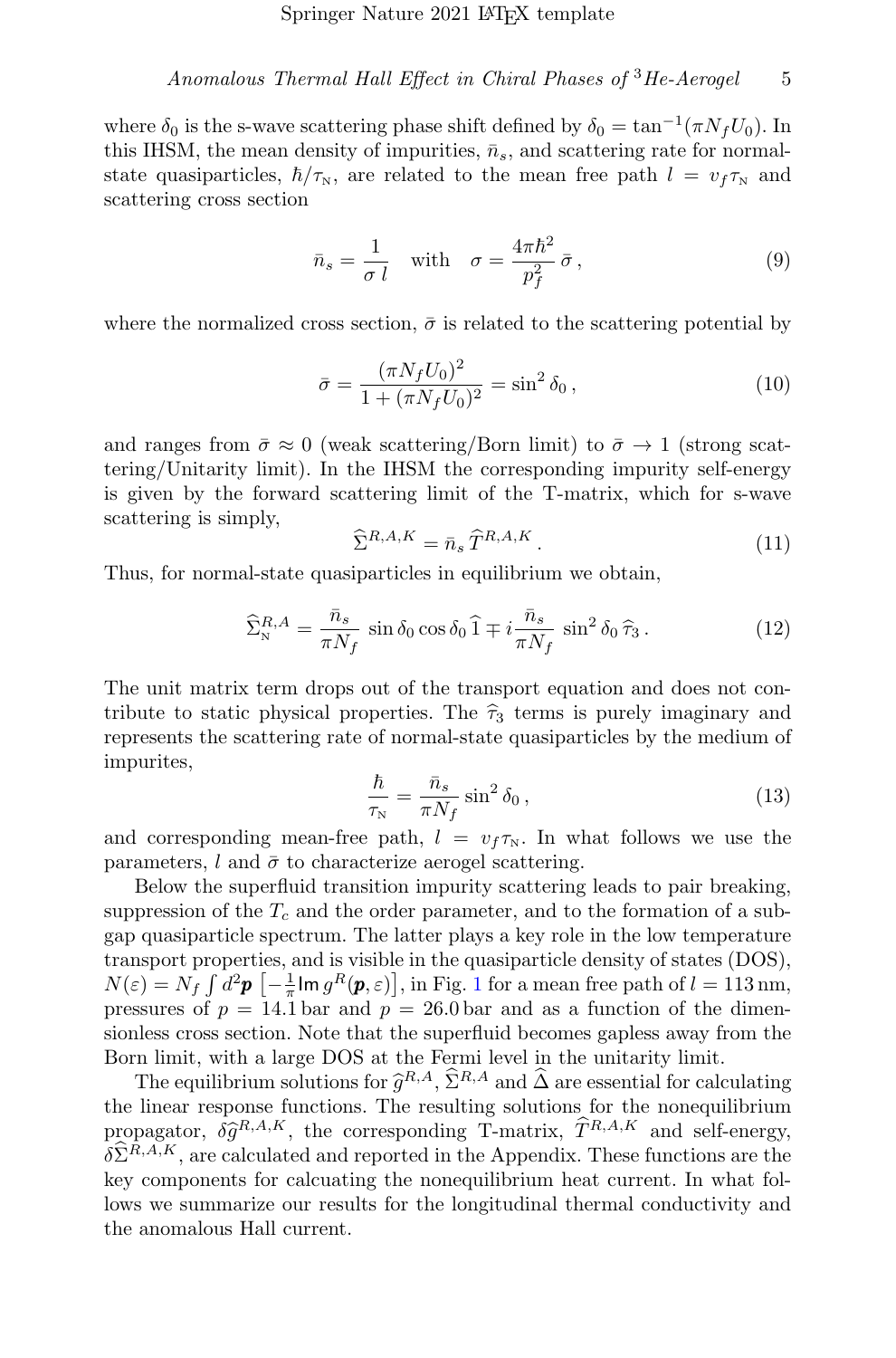Anomalous Thermal Hall Effect in Chiral Phases of  ${}^{3}He$ -Aerogel 5

where  $\delta_0$  is the s-wave scattering phase shift defined by  $\delta_0 = \tan^{-1}(\pi N_f U_0)$ . In this IHSM, the mean density of impurities,  $\bar{n}_s$ , and scattering rate for normalstate quasiparticles,  $\hbar/\tau_{\rm N}$ , are related to the mean free path  $l = v_f \tau_{\rm N}$  and scattering cross section

$$
\bar{n}_s = \frac{1}{\sigma \ l} \quad \text{with} \quad \sigma = \frac{4\pi\hbar^2}{p_f^2} \bar{\sigma},\tag{9}
$$

where the normalized cross section,  $\bar{\sigma}$  is related to the scattering potential by

$$
\bar{\sigma} = \frac{(\pi N_f U_0)^2}{1 + (\pi N_f U_0)^2} = \sin^2 \delta_0, \qquad (10)
$$

and ranges from  $\bar{\sigma} \approx 0$  (weak scattering/Born limit) to  $\bar{\sigma} \rightarrow 1$  (strong scattering/Unitarity limit). In the IHSM the corresponding impurity self-energy is given by the forward scattering limit of the T-matrix, which for s-wave scattering is simply,

<span id="page-4-0"></span>
$$
\widehat{\Sigma}^{R,A,K} = \bar{n}_s \,\widehat{T}^{R,A,K} \,. \tag{11}
$$

Thus, for normal-state quasiparticles in equilibrium we obtain,

$$
\widehat{\Sigma}_{\rm N}^{R,A} = \frac{\bar{n}_s}{\pi N_f} \sin \delta_0 \cos \delta_0 \widehat{1} \mp i \frac{\bar{n}_s}{\pi N_f} \sin^2 \delta_0 \widehat{\tau}_3. \tag{12}
$$

The unit matrix term drops out of the transport equation and does not contribute to static physical properties. The  $\hat{\tau}_3$  terms is purely imaginary and represents the scattering rate of normal-state quasiparticles by the medium of impurites,

$$
\frac{\hbar}{\tau_{\rm N}} = \frac{\bar{n}_s}{\pi N_f} \sin^2 \delta_0 \,,\tag{13}
$$

and corresponding mean-free path,  $l = v_f \tau_{N}$ . In what follows we use the parameters, l and  $\bar{\sigma}$  to characterize aerogel scattering.

Below the superfluid transition impurity scattering leads to pair breaking, suppression of the  $T_c$  and the order parameter, and to the formation of a subgap quasiparticle spectrum. The latter plays a key role in the low temperature transport properties, and is visible in the quasiparticle density of states (DOS),  $N(\varepsilon) = N_f \int d^2 \mathbf{p} \left[ -\frac{1}{\pi} \text{Im} \, g^R(\mathbf{p}, \varepsilon) \right],$  $N(\varepsilon) = N_f \int d^2 \mathbf{p} \left[ -\frac{1}{\pi} \text{Im} \, g^R(\mathbf{p}, \varepsilon) \right],$  $N(\varepsilon) = N_f \int d^2 \mathbf{p} \left[ -\frac{1}{\pi} \text{Im} \, g^R(\mathbf{p}, \varepsilon) \right],$  in Fig. 1 for a mean free path of  $l = 113 \text{ nm}$ , pressures of  $p = 14.1$  bar and  $p = 26.0$  bar and as a function of the dimensionless cross section. Note that the superfluid becomes gapless away from the Born limit, with a large DOS at the Fermi level in the unitarity limit.

The equilibrium solutions for  $\hat{g}^{R,A}, \hat{\Sigma}^{R,A}$  and  $\hat{\Delta}$  are essential for calculating binor response functions. The resulting solutions for the poposition the linear response functions. The resulting solutions for the nonequilibrium propagator,  $\delta \hat{g}^{R,A,K}$ , the corresponding T-matrix,  $\hat{T}^{R,A,K}$  and self-energy,  $\delta \hat{\Sigma}^{R,A,K}$  are calculated and reported in the Appendix. These functions are the  $\delta \hat{\Sigma}^{R,A,K}$ , are calculated and reported in the Appendix. These functions are the key components for calcuating the nonequilibrium heat current. In what follows we summarize our results for the longitudinal thermal conductivity and the anomalous Hall current.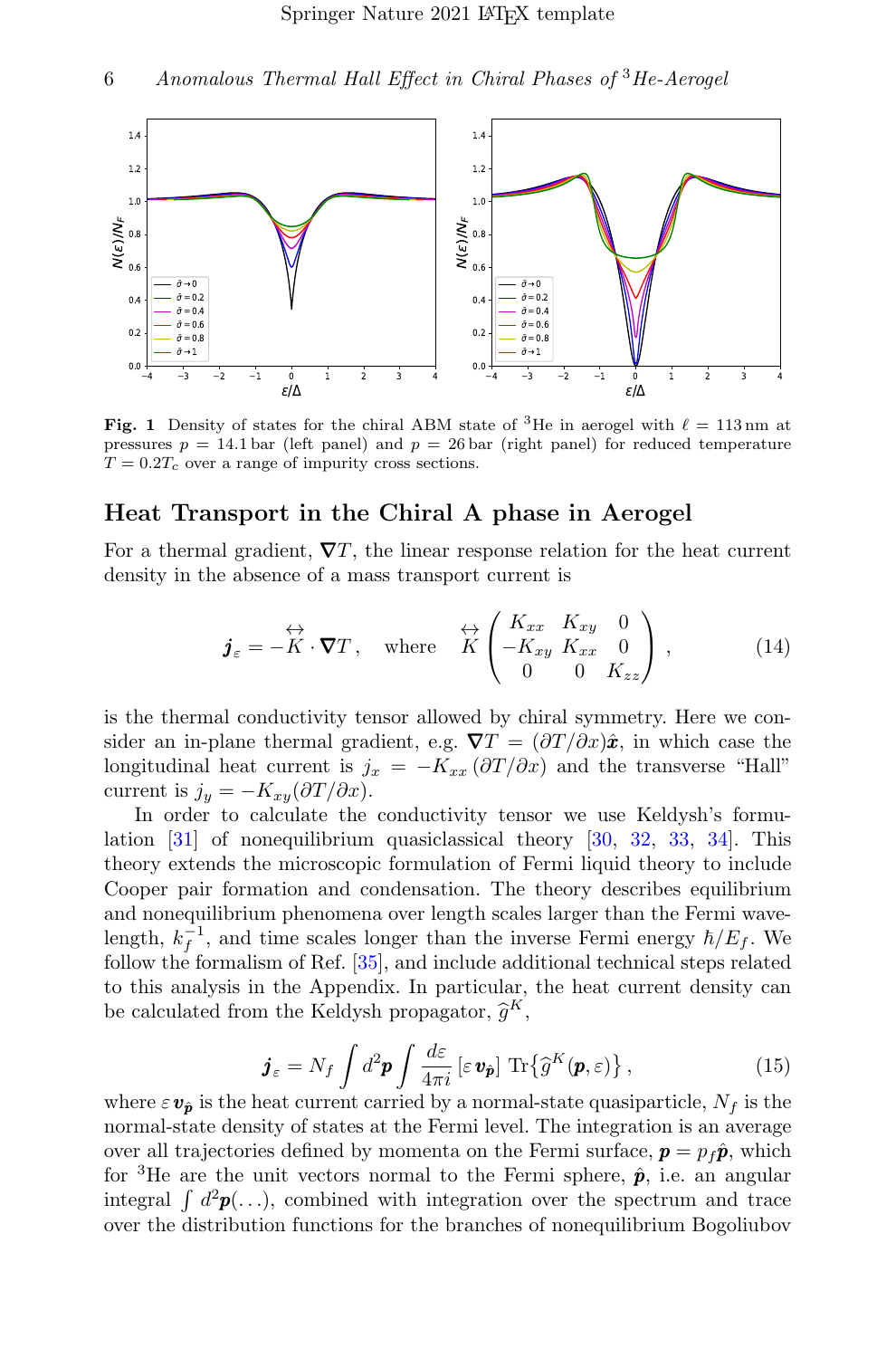

<span id="page-5-0"></span>**Fig. 1** Density of states for the chiral ABM state of <sup>3</sup>He in aerogel with  $\ell = 113 \text{ nm}$  at pressures  $p = 14.1$  bar (left panel) and  $p = 26$  bar (right panel) for reduced temperature  $T = 0.2T_c$  over a range of impurity cross sections.

### Heat Transport in the Chiral A phase in Aerogel

For a thermal gradient,  $\nabla T$ , the linear response relation for the heat current density in the absence of a mass transport current is

$$
\boldsymbol{j}_{\varepsilon} = -\overset{\leftrightarrow}{K} \cdot \boldsymbol{\nabla} T \,, \quad \text{where} \quad \overset{\leftrightarrow}{K} \begin{pmatrix} K_{xx} & K_{xy} & 0 \\ -K_{xy} & K_{xx} & 0 \\ 0 & 0 & K_{zz} \end{pmatrix} \,, \tag{14}
$$

is the thermal conductivity tensor allowed by chiral symmetry. Here we consider an in-plane thermal gradient, e.g.  $\nabla T = (\partial T/\partial x)\hat{x}$ , in which case the longitudinal heat current is  $j_x = -K_{xx} (\partial T / \partial x)$  and the transverse "Hall" current is  $j_y = -K_{xy}(\partial T/\partial x)$ .

In order to calculate the conductivity tensor we use Keldysh's formulation [\[31\]](#page-15-3) of nonequilibrium quasiclassical theory [\[30,](#page-15-2) [32,](#page-15-4) [33,](#page-15-5) [34\]](#page-15-6). This theory extends the microscopic formulation of Fermi liquid theory to include Cooper pair formation and condensation. The theory describes equilibrium and nonequilibrium phenomena over length scales larger than the Fermi wavelength,  $k_f^{-1}$ , and time scales longer than the inverse Fermi energy  $\hbar/E_f$ . We follow the formalism of Ref. [\[35\]](#page-15-7), and include additional technical steps related to this analysis in the Appendix. In particular, the heat current density can be calculated from the Keldysh propagator,  $\hat{g}^K$ ,

<span id="page-5-1"></span>
$$
\boldsymbol{j}_{\varepsilon} = N_f \int d^2 \boldsymbol{p} \int \frac{d\varepsilon}{4\pi i} \left[ \varepsilon \, \boldsymbol{v}_{\hat{\boldsymbol{p}}} \right] \, \text{Tr} \left\{ \widehat{g}^K(\boldsymbol{p}, \varepsilon) \right\},\tag{15}
$$

where  $\varepsilon \mathbf{v}_{\hat{p}}$  is the heat current carried by a normal-state quasiparticle,  $N_f$  is the normal-state density of states at the Fermi level. The integration is an average over all trajectories defined by momenta on the Fermi surface,  $\mathbf{p} = p_f \hat{\mathbf{p}}$ , which for <sup>3</sup>He are the unit vectors normal to the Fermi sphere,  $\hat{p}$ , i.e. an angular integral  $\int d^2\mathbf{p}(\ldots)$ , combined with integration over the spectrum and trace over the distribution functions for the branches of nonequilibrium Bogoliubov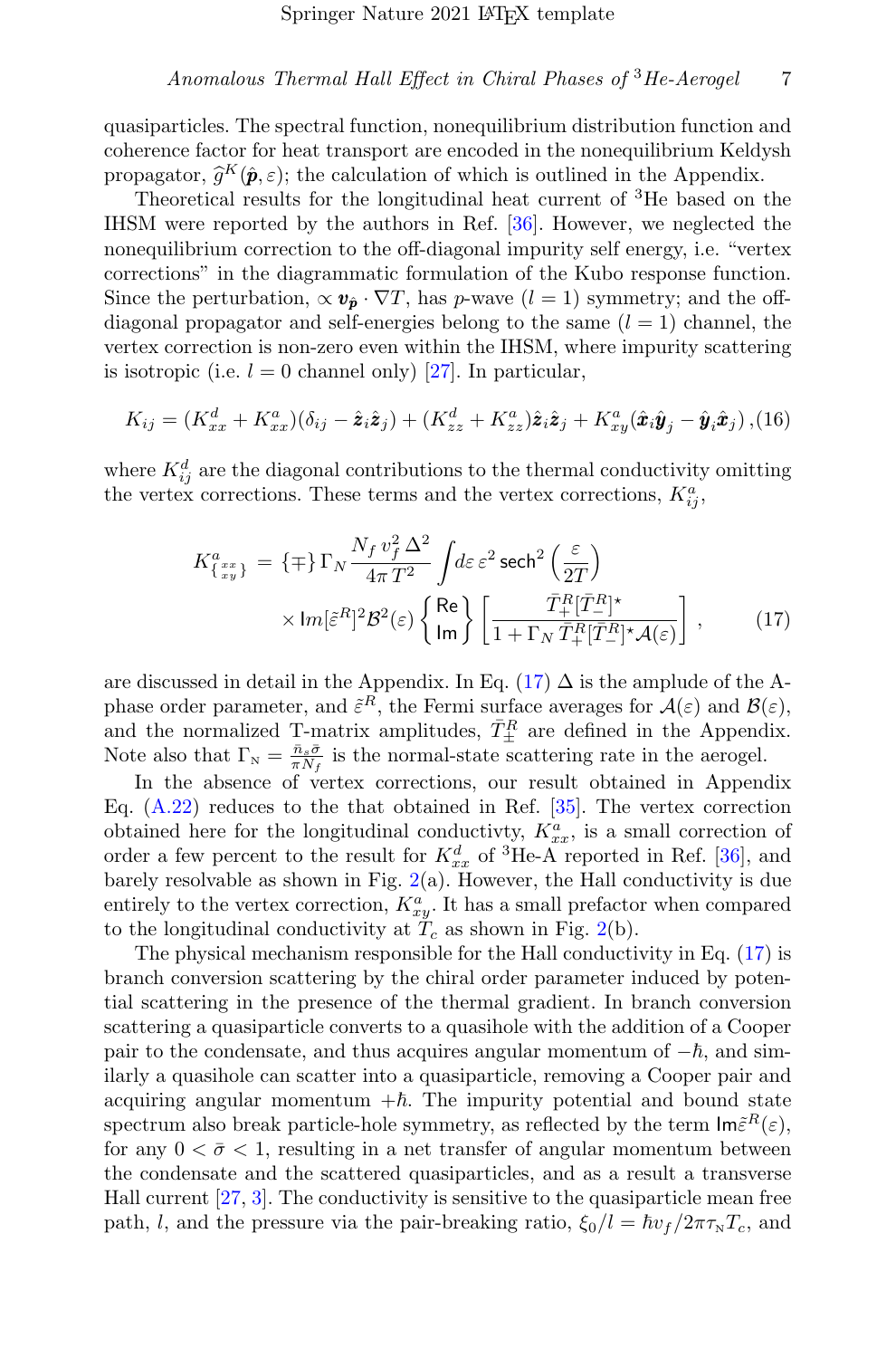quasiparticles. The spectral function, nonequilibrium distribution function and coherence factor for heat transport are encoded in the nonequilibrium Keldysh propagator,  $\hat{g}^K(\hat{p}, \varepsilon)$ ; the calculation of which is outlined in the Appendix.<br>Theoretical results for the longitudinal heat current of <sup>3</sup>He based on

Theoretical results for the longitudinal heat current of <sup>3</sup>He based on the IHSM were reported by the authors in Ref. [\[36\]](#page-15-8). However, we neglected the nonequilibrium correction to the off-diagonal impurity self energy, i.e. "vertex corrections" in the diagrammatic formulation of the Kubo response function. Since the perturbation,  $\propto v_{\hat{p}} \cdot \nabla T$ , has p-wave  $(l = 1)$  symmetry; and the offdiagonal propagator and self-energies belong to the same  $(l = 1)$  channel, the vertex correction is non-zero even within the IHSM, where impurity scattering is isotropic (i.e.  $l = 0$  channel only) [\[27\]](#page-14-20). In particular,

$$
K_{ij} = (K_{xx}^d + K_{xx}^a)(\delta_{ij} - \hat{\mathbf{z}}_i \hat{\mathbf{z}}_j) + (K_{zz}^d + K_{zz}^a)\hat{\mathbf{z}}_i \hat{\mathbf{z}}_j + K_{xy}^a(\hat{\mathbf{x}}_i \hat{\mathbf{y}}_j - \hat{\mathbf{y}}_i \hat{\mathbf{x}}_j),
$$
(16)

where  $K_{ij}^d$  are the diagonal contributions to the thermal conductivity omitting the vertex corrections. These terms and the vertex corrections,  $K_{ij}^a$ ,

<span id="page-6-0"></span>
$$
K_{\{x_y\}}^a = \{\mp\} \Gamma_N \frac{N_f v_f^2 \Delta^2}{4\pi T^2} \int d\varepsilon \,\varepsilon^2 \operatorname{sech}^2\left(\frac{\varepsilon}{2T}\right) \times \operatorname{Im}[\varepsilon^R]^2 \mathcal{B}^2(\varepsilon) \left\{\operatorname{Re}\atop \operatorname{Im}\right\} \left[\frac{\bar{T}_+^R [\bar{T}_-^R]^*}{1 + \Gamma_N \,\bar{T}_+^R [\bar{T}_-^R]^* \mathcal{A}(\varepsilon)}\right],\tag{17}
$$

are discussed in detail in the Appendix. In Eq. [\(17\)](#page-6-0)  $\Delta$  is the amplude of the Aphase order parameter, and  $\tilde{\varepsilon}^R$ , the Fermi surface averages for  $\mathcal{A}(\varepsilon)$  and  $\mathcal{B}(\varepsilon)$ , and the normalized T-matrix amplitudes,  $\bar{T}_{\pm}^{R}$  are defined in the Appendix. Note also that  $\Gamma_{\rm N} = \frac{\bar{n}_s \bar{\sigma}}{\pi N_f}$  is the normal-state scattering rate in the aerogel.

In the absence of vertex corrections, our result obtained in Appendix Eq.  $(A.22)$  reduces to the that obtained in Ref. [\[35\]](#page-15-7). The vertex correction obtained here for the longitudinal conductivty,  $K_{xx}^a$ , is a small correction of order a few percent to the result for  $K_{xx}^d$  of <sup>3</sup>He-A reported in Ref. [\[36\]](#page-15-8), and barely resolvable as shown in Fig.  $2(a)$  $2(a)$ . However, the Hall conductivity is due entirely to the vertex correction,  $K_{xy}^{a}$ . It has a small prefactor when compared to the longitudinal conductivity at  $T_c$  as shown in Fig. [2\(](#page-7-0)b).

The physical mechanism responsible for the Hall conductivity in Eq. [\(17\)](#page-6-0) is branch conversion scattering by the chiral order parameter induced by potential scattering in the presence of the thermal gradient. In branch conversion scattering a quasiparticle converts to a quasihole with the addition of a Cooper pair to the condensate, and thus acquires angular momentum of  $-\hbar$ , and similarly a quasihole can scatter into a quasiparticle, removing a Cooper pair and acquiring angular momentum  $+\hbar$ . The impurity potential and bound state spectrum also break particle-hole symmetry, as reflected by the term  $\textsf{Im} \tilde{\varepsilon}^R(\varepsilon)$ , for any  $0 < \bar{\sigma} < 1$ , resulting in a net transfer of angular momentum between the condensate and the scattered quasiparticles, and as a result a transverse Hall current [\[27,](#page-14-20) [3\]](#page-13-2). The conductivity is sensitive to the quasiparticle mean free path, l, and the pressure via the pair-breaking ratio,  $\xi_0/l = \hbar v_f / 2\pi \tau_{\rm N} T_c$ , and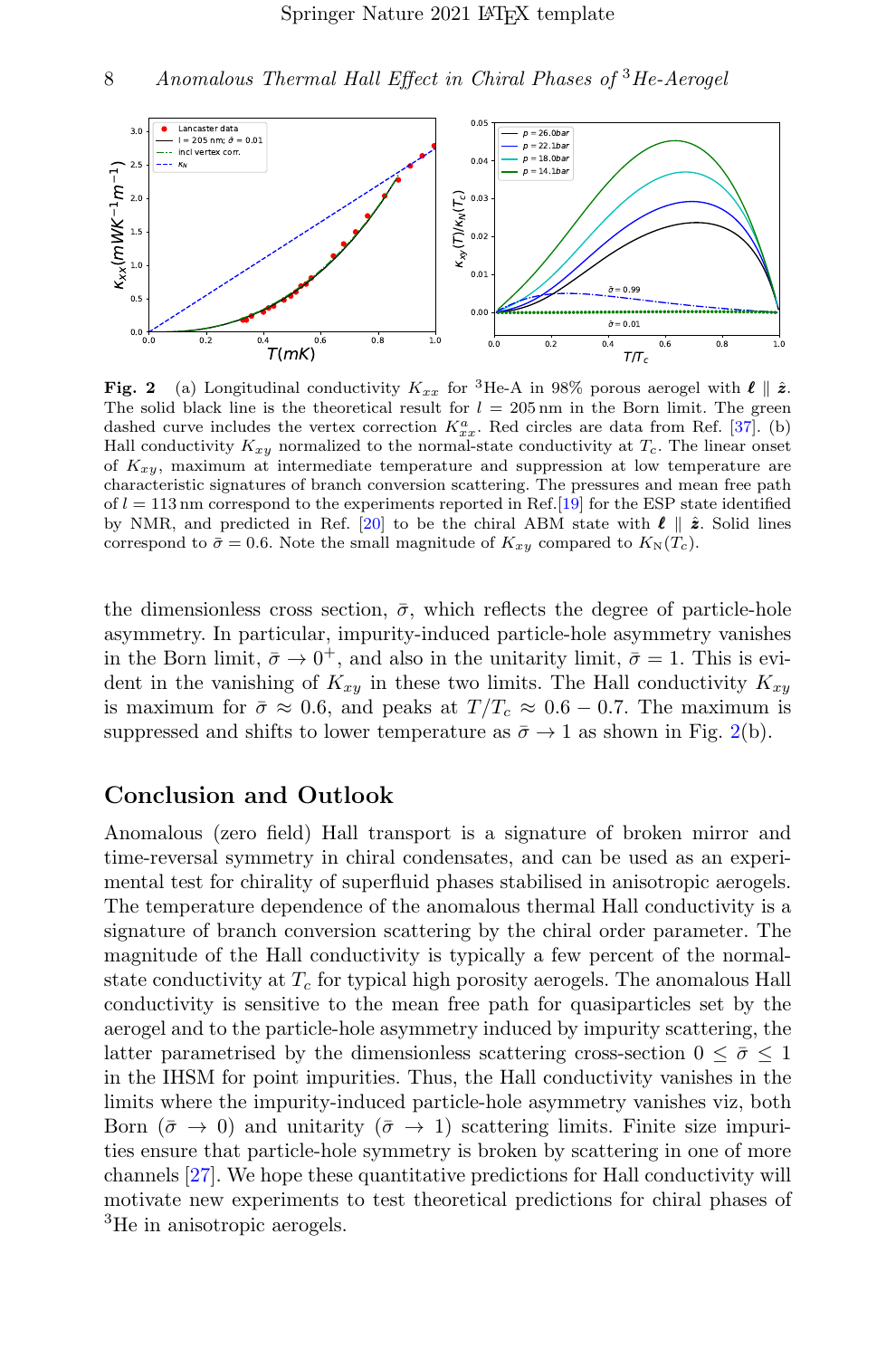

<span id="page-7-0"></span>Fig. 2 (a) Longitudinal conductivity  $K_{xx}$  for <sup>3</sup>He-A in 98% porous aerogel with  $\ell \parallel \hat{z}$ . The solid black line is the theoretical result for  $l = 205 \,\text{nm}$  in the Born limit. The green dashed curve includes the vertex correction  $K_{xx}^a$ . Red circles are data from Ref. [\[37\]](#page-15-9). (b) Hall conductivity  $K_{xy}$  normalized to the normal-state conductivity at  $T_c$ . The linear onset of  $K_{xy}$ , maximum at intermediate temperature and suppression at low temperature are characteristic signatures of branch conversion scattering. The pressures and mean free path of  $l = 113$  nm correspond to the experiments reported in Ref. [\[19\]](#page-14-12) for the ESP state identified by NMR, and predicted in Ref. [\[20\]](#page-14-13) to be the chiral ABM state with  $\ell \parallel \hat{z}$ . Solid lines correspond to  $\bar{\sigma} = 0.6$ . Note the small magnitude of  $K_{xy}$  compared to  $K_{\rm N}(T_c)$ .

the dimensionless cross section,  $\bar{\sigma}$ , which reflects the degree of particle-hole asymmetry. In particular, impurity-induced particle-hole asymmetry vanishes in the Born limit,  $\bar{\sigma} \to 0^+$ , and also in the unitarity limit,  $\bar{\sigma} = 1$ . This is evident in the vanishing of  $K_{xy}$  in these two limits. The Hall conductivity  $K_{xy}$ is maximum for  $\bar{\sigma} \approx 0.6$ , and peaks at  $T/T_c \approx 0.6 - 0.7$ . The maximum is suppressed and shifts to lower temperature as  $\bar{\sigma} \rightarrow 1$  as shown in Fig. [2\(](#page-7-0)b).

### Conclusion and Outlook

Anomalous (zero field) Hall transport is a signature of broken mirror and time-reversal symmetry in chiral condensates, and can be used as an experimental test for chirality of superfluid phases stabilised in anisotropic aerogels. The temperature dependence of the anomalous thermal Hall conductivity is a signature of branch conversion scattering by the chiral order parameter. The magnitude of the Hall conductivity is typically a few percent of the normalstate conductivity at  $T_c$  for typical high porosity aerogels. The anomalous Hall conductivity is sensitive to the mean free path for quasiparticles set by the aerogel and to the particle-hole asymmetry induced by impurity scattering, the latter parametrised by the dimensionless scattering cross-section  $0 \leq \bar{\sigma} \leq 1$ in the IHSM for point impurities. Thus, the Hall conductivity vanishes in the limits where the impurity-induced particle-hole asymmetry vanishes viz, both Born  $(\bar{\sigma} \to 0)$  and unitarity  $(\bar{\sigma} \to 1)$  scattering limits. Finite size impurities ensure that particle-hole symmetry is broken by scattering in one of more channels [\[27\]](#page-14-20). We hope these quantitative predictions for Hall conductivity will motivate new experiments to test theoretical predictions for chiral phases of <sup>3</sup>He in anisotropic aerogels.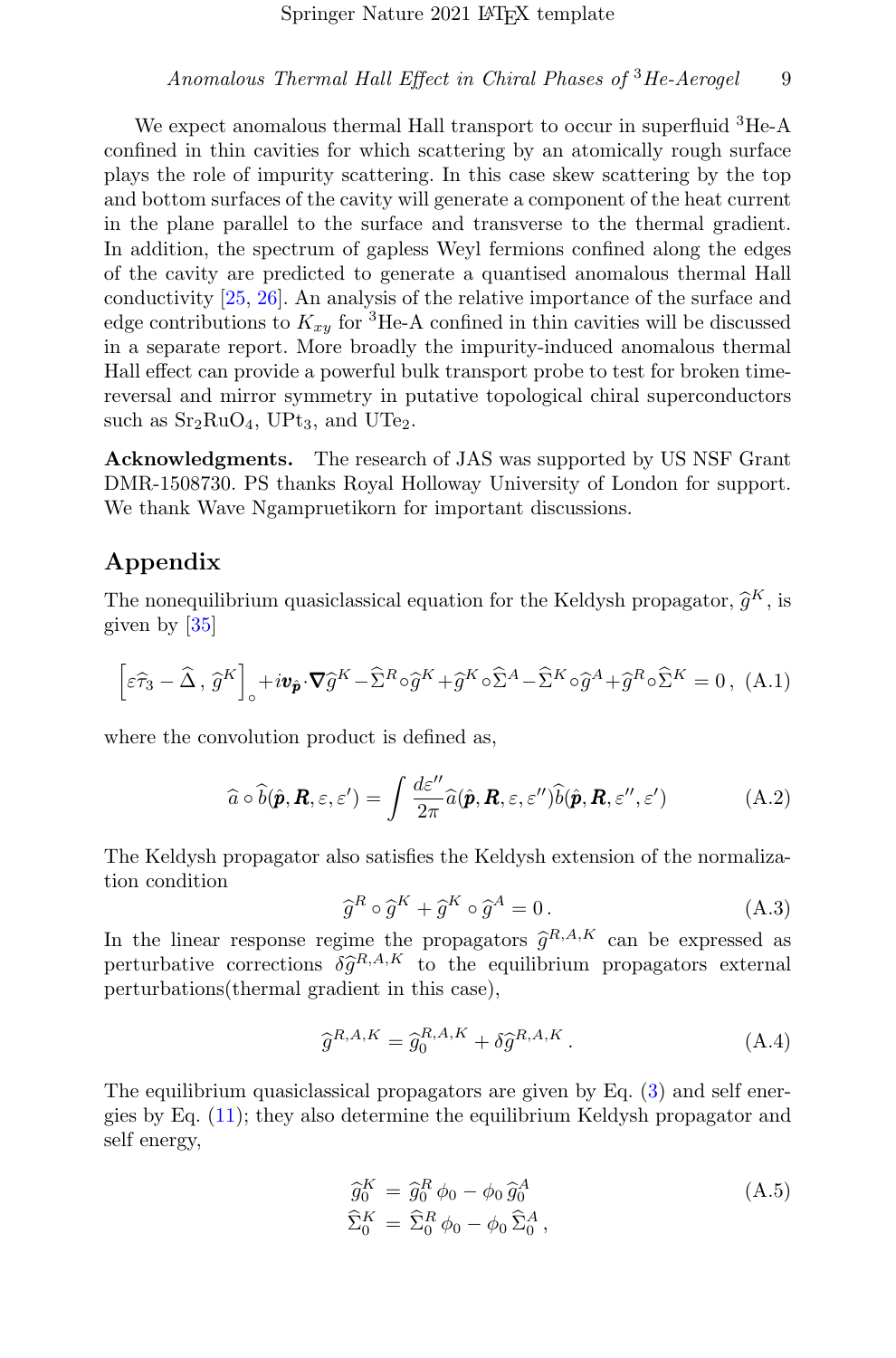We expect anomalous thermal Hall transport to occur in superfluid <sup>3</sup>He-A confined in thin cavities for which scattering by an atomically rough surface plays the role of impurity scattering. In this case skew scattering by the top and bottom surfaces of the cavity will generate a component of the heat current in the plane parallel to the surface and transverse to the thermal gradient. In addition, the spectrum of gapless Weyl fermions confined along the edges of the cavity are predicted to generate a quantised anomalous thermal Hall conductivity [\[25,](#page-14-18) [26\]](#page-14-19). An analysis of the relative importance of the surface and edge contributions to  $K_{x,y}$  for <sup>3</sup>He-A confined in thin cavities will be discussed in a separate report. More broadly the impurity-induced anomalous thermal Hall effect can provide a powerful bulk transport probe to test for broken timereversal and mirror symmetry in putative topological chiral superconductors such as  $Sr<sub>2</sub>RuO<sub>4</sub>$ , UPt<sub>3</sub>, and UTe<sub>2</sub>.

Acknowledgments. The research of JAS was supported by US NSF Grant DMR-1508730. PS thanks Royal Holloway University of London for support. We thank Wave Ngampruetikorn for important discussions.

## Appendix

The nonequilibrium quasiclassical equation for the Keldysh propagator,  $\hat{g}^K$ , is given by [35] given by [\[35\]](#page-15-7)

$$
\left[\varepsilon\widehat{\tau}_{3} - \widehat{\Delta}, \widehat{g}^{K}\right]_{\circ} + i\mathbf{v}_{\widehat{p}} \cdot \nabla \widehat{g}^{K} - \widehat{\Sigma}^{R} \circ \widehat{g}^{K} + \widehat{g}^{K} \circ \widehat{\Sigma}^{A} - \widehat{\Sigma}^{K} \circ \widehat{g}^{A} + \widehat{g}^{R} \circ \widehat{\Sigma}^{K} = 0, (A.1)
$$

where the convolution product is defined as,

$$
\widehat{a} \circ \widehat{b}(\widehat{\boldsymbol{p}}, \boldsymbol{R}, \varepsilon, \varepsilon') = \int \frac{d\varepsilon''}{2\pi} \widehat{a}(\widehat{\boldsymbol{p}}, \boldsymbol{R}, \varepsilon, \varepsilon'') \widehat{b}(\widehat{\boldsymbol{p}}, \boldsymbol{R}, \varepsilon'', \varepsilon')
$$
(A.2)

The Keldysh propagator also satisfies the Keldysh extension of the normalization condition

$$
\hat{g}^R \circ \hat{g}^K + \hat{g}^K \circ \hat{g}^A = 0.
$$
\n(A.3)

In the linear response regime the propagators  $\hat{g}^{R,A,K}$  can be expressed as perturbative corrections  $\delta \hat{g}^{R,A,K}$  to the equilibrium propagators external<br>perturbations(thermal gradient in this case) perturbations(thermal gradient in this case),

$$
\widehat{g}^{R,A,K} = \widehat{g}_0^{R,A,K} + \delta \widehat{g}^{R,A,K} \,. \tag{A.4}
$$

The equilibrium quasiclassical propagators are given by Eq. [\(3\)](#page-3-0) and self energies by Eq. [\(11\)](#page-4-0); they also determine the equilibrium Keldysh propagator and self energy,

<span id="page-8-0"></span>
$$
\begin{aligned}\n\hat{g}_0^K &= \hat{g}_0^R \,\phi_0 - \phi_0 \,\hat{g}_0^A \\
\hat{\Sigma}_0^K &= \hat{\Sigma}_0^R \,\phi_0 - \phi_0 \,\hat{\Sigma}_0^A \,,\n\end{aligned} \tag{A.5}
$$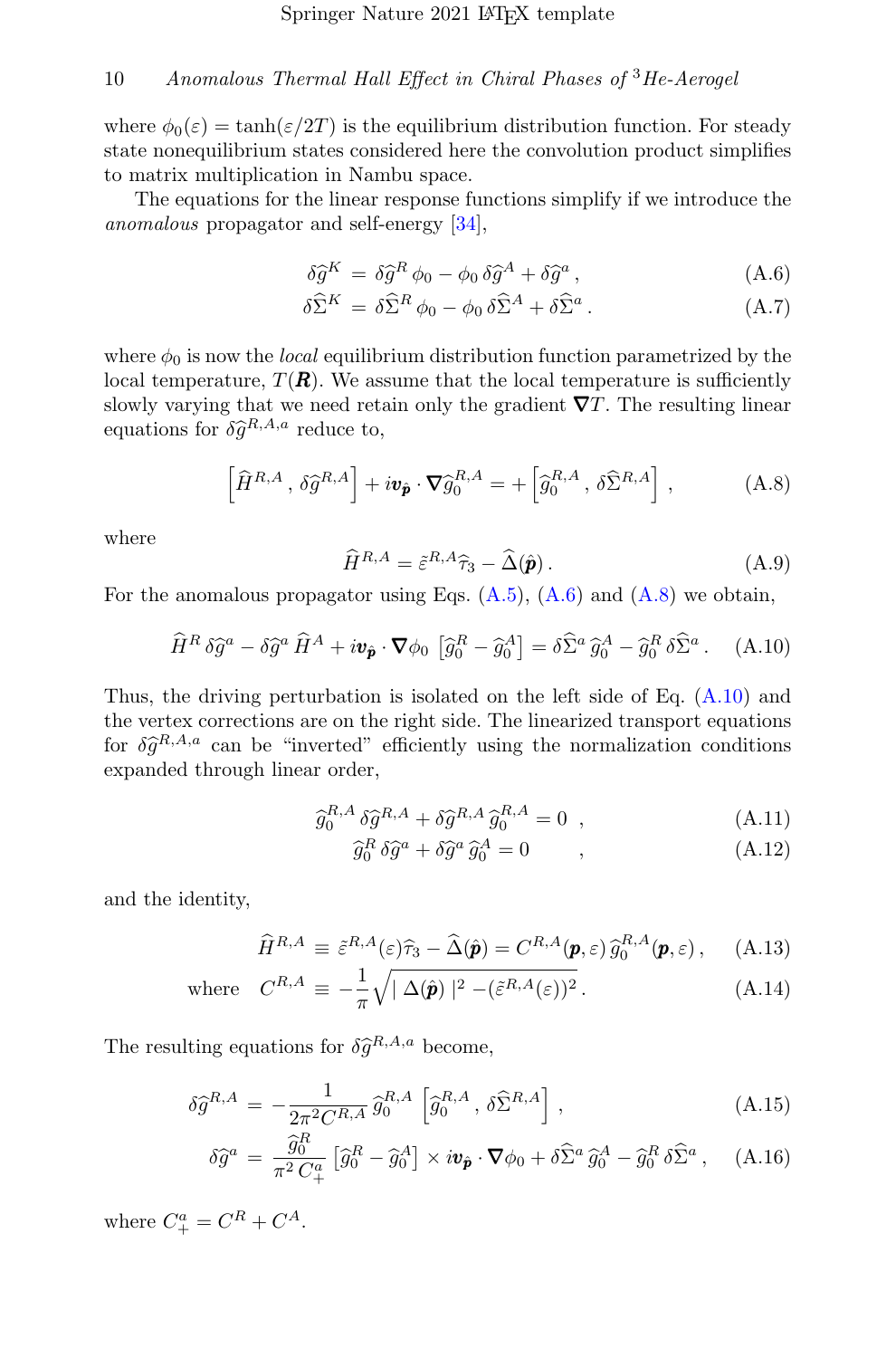where  $\phi_0(\varepsilon) = \tanh(\varepsilon/2T)$  is the equilibrium distribution function. For steady state nonequilibrium states considered here the convolution product simplifies to matrix multiplication in Nambu space.

The equations for the linear response functions simplify if we introduce the anomalous propagator and self-energy [\[34\]](#page-15-6),

<span id="page-9-0"></span>
$$
\delta \hat{g}^{K} = \delta \hat{g}^{R} \phi_{0} - \phi_{0} \delta \hat{g}^{A} + \delta \hat{g}^{a}, \qquad (A.6)
$$

$$
\delta \widehat{\Sigma}^K = \delta \widehat{\Sigma}^R \phi_0 - \phi_0 \, \delta \widehat{\Sigma}^A + \delta \widehat{\Sigma}^a \,. \tag{A.7}
$$

where  $\phi_0$  is now the *local* equilibrium distribution function parametrized by the local temperature,  $T(\mathbf{R})$ . We assume that the local temperature is sufficiently slowly varying that we need retain only the gradient  $\nabla T$ . The resulting linear equations for  $\delta \hat{g}^{R,A,a}$  reduce to,

<span id="page-9-1"></span>
$$
\left[\widehat{H}^{R,A},\,\delta\widehat{g}^{R,A}\right] + i\boldsymbol{v}_{\widehat{\boldsymbol{p}}} \cdot \boldsymbol{\nabla}\widehat{g}_0^{R,A} = +\left[\widehat{g}_0^{R,A},\,\delta\widehat{\Sigma}^{R,A}\right],\tag{A.8}
$$

where

$$
\widehat{H}^{R,A} = \tilde{\varepsilon}^{R,A}\widehat{\tau}_3 - \widehat{\Delta}(\widehat{\boldsymbol{p}}). \tag{A.9}
$$

For the anomalous propagator using Eqs.  $(A.5)$ ,  $(A.6)$  and  $(A.8)$  we obtain,

<span id="page-9-2"></span>
$$
\widehat{H}^R \,\delta \widehat{g}^a - \delta \widehat{g}^a \,\widehat{H}^A + i \boldsymbol{v}_{\hat{\boldsymbol{p}}} \cdot \boldsymbol{\nabla} \phi_0 \,\left[ \widehat{g}_0^R - \widehat{g}_0^A \right] = \delta \widehat{\Sigma}^a \,\widehat{g}_0^A - \widehat{g}_0^R \,\delta \widehat{\Sigma}^a \,. \tag{A.10}
$$

Thus, the driving perturbation is isolated on the left side of Eq. [\(A.10\)](#page-9-2) and the vertex corrections are on the right side. The linearized transport equations for  $\delta \hat{g}^{R,A,a}$  can be "inverted" efficiently using the normalization conditions expanded through linear order expanded through linear order,

$$
\hat{g}_0^{R,A} \, \delta \hat{g}^{R,A} + \delta \hat{g}^{R,A} \, \hat{g}_0^{R,A} = 0 \quad , \tag{A.11}
$$
\n
$$
\hat{g}_0^{R,A} \, \hat{g}^{R,A} = 0 \quad , \tag{A.12}
$$

$$
\widehat{g}_0^R \,\delta \widehat{g}^a + \delta \widehat{g}^a \,\widehat{g}_0^A = 0 \qquad , \tag{A.12}
$$

and the identity,

<span id="page-9-3"></span>
$$
\widehat{H}^{R,A} \equiv \tilde{\varepsilon}^{R,A}(\varepsilon)\widehat{\tau}_3 - \widehat{\Delta}(\widehat{\boldsymbol{p}}) = C^{R,A}(\boldsymbol{p}, \varepsilon) \,\widehat{g}_0^{R,A}(\boldsymbol{p}, \varepsilon) \,, \quad \text{(A.13)}
$$

where 
$$
C^{R,A} \equiv -\frac{1}{\pi} \sqrt{|\Delta(\hat{\mathbf{p}})|^2 - (\tilde{\varepsilon}^{R,A}(\varepsilon))^2}
$$
. (A.14)

The resulting equations for  $\delta \hat{g}^{R,A,a}$  become,

<span id="page-9-4"></span>
$$
\delta \hat{g}^{R,A} = -\frac{1}{2\pi^2 C^{R,A}} \,\hat{g}_0^{R,A} \left[ \hat{g}_0^{R,A}, \,\delta \hat{\Sigma}^{R,A} \right],\tag{A.15}
$$

$$
\delta \widehat{g}^a = \frac{\widehat{g}_0^R}{\pi^2 C_+^a} \left[ \widehat{g}_0^R - \widehat{g}_0^A \right] \times i \boldsymbol{v}_{\hat{\boldsymbol{p}}} \cdot \boldsymbol{\nabla} \phi_0 + \delta \widehat{\Sigma}^a \, \widehat{g}_0^A - \widehat{g}_0^R \, \delta \widehat{\Sigma}^a \,, \quad \text{(A.16)}
$$

where  $C_{+}^{a} = C^{R} + C^{A}$ .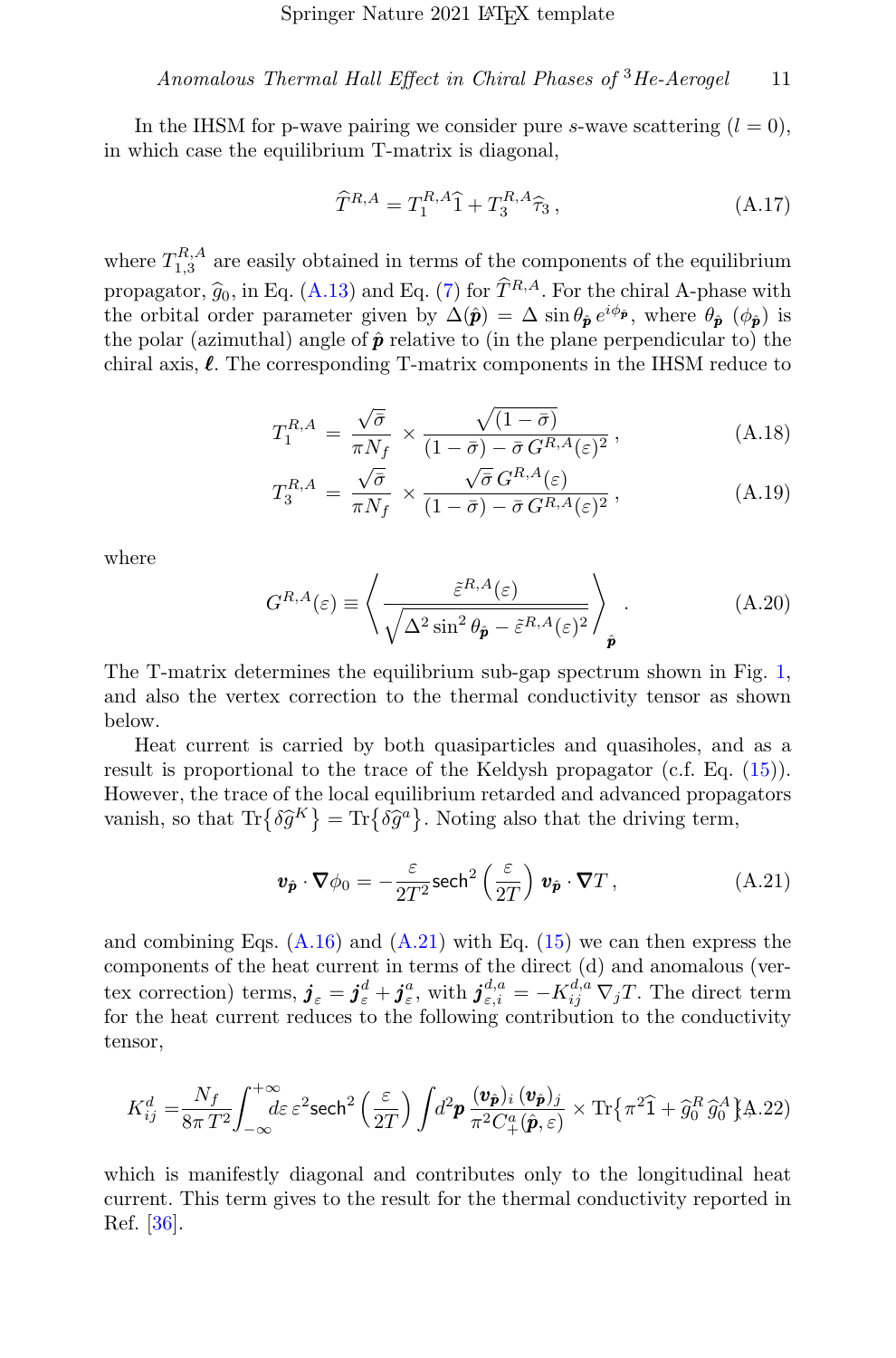In the IHSM for p-wave pairing we consider pure s-wave scattering  $(l = 0)$ , in which case the equilibrium T-matrix is diagonal,

$$
\widehat{T}^{R,A} = T_1^{R,A}\widehat{1} + T_3^{R,A}\widehat{\tau}_3\,,\tag{A.17}
$$

where  $T_{1,3}^{R,A}$  are easily obtained in terms of the components of the equilibrium propagator,  $\hat{g}_0$ , in Eq. [\(A.13\)](#page-9-3) and Eq. [\(7\)](#page-3-1) for  $\hat{T}^{R,A}$ . For the chiral A-phase with the orbital order parameter given by  $\Delta(\hat{\mathbf{p}}) = \Delta \sin \theta_{\hat{\mathbf{p}}} e^{i\phi_{\hat{\mathbf{p}}}}$ , where  $\theta_{\hat{\mathbf{p}}}$  ( $\phi_{\hat{\mathbf{p}}}$ ) is the polar (azimuthal) angle of  $\hat{p}$  relative to (in the plane perpendicular to) the chiral axis,  $\ell$ . The corresponding T-matrix components in the IHSM reduce to

$$
T_1^{R,A} = \frac{\sqrt{\bar{\sigma}}}{\pi N_f} \times \frac{\sqrt{(1-\bar{\sigma})}}{(1-\bar{\sigma}) - \bar{\sigma} G^{R,A}(\varepsilon)^2},
$$
(A.18)

$$
T_3^{R,A} = \frac{\sqrt{\bar{\sigma}}}{\pi N_f} \times \frac{\sqrt{\bar{\sigma}} G^{R,A}(\varepsilon)}{(1 - \bar{\sigma}) - \bar{\sigma} G^{R,A}(\varepsilon)^2},
$$
(A.19)

where

$$
G^{R,A}(\varepsilon) \equiv \left\langle \frac{\tilde{\varepsilon}^{R,A}(\varepsilon)}{\sqrt{\Delta^2 \sin^2 \theta_{\hat{\pmb{p}}}-\tilde{\varepsilon}^{R,A}(\varepsilon)^2}} \right\rangle_{\hat{\pmb{p}}}.
$$
(A.20)

The T-matrix determines the equilibrium sub-gap spectrum shown in Fig. [1,](#page-5-0) and also the vertex correction to the thermal conductivity tensor as shown below.

Heat current is carried by both quasiparticles and quasiholes, and as a result is proportional to the trace of the Keldysh propagator (c.f. Eq. [\(15\)](#page-5-1)). However, the trace of the local equilibrium retarded and advanced propagators vanish, so that  $\text{Tr}\{\delta \hat{g}^K\} = \text{Tr}\{\delta \hat{g}^a\}$ . Noting also that the driving term,

<span id="page-10-1"></span>
$$
\mathbf{v}_{\hat{\mathbf{p}}} \cdot \nabla \phi_0 = -\frac{\varepsilon}{2T^2} \mathrm{sech}^2 \left(\frac{\varepsilon}{2T}\right) \mathbf{v}_{\hat{\mathbf{p}}} \cdot \nabla T , \qquad (A.21)
$$

and combining Eqs.  $(A.16)$  and  $(A.21)$  with Eq.  $(15)$  we can then express the components of the heat current in terms of the direct (d) and anomalous (vertex correction) terms,  $\boldsymbol{j}_{\varepsilon} = \boldsymbol{j}_{\varepsilon}^d + \boldsymbol{j}_{\varepsilon}^a$ , with  $\boldsymbol{j}_{\varepsilon,i}^{d,a} = -K_{ij}^{d,a} \nabla_j T$ . The direct term for the heat current reduces to the following contribution to the conductivity tensor,

<span id="page-10-0"></span>
$$
K_{ij}^d = \frac{N_f}{8\pi T^2} \int_{-\infty}^{+\infty} d\varepsilon \, \varepsilon^2 \, \text{sech}^2\left(\frac{\varepsilon}{2T}\right) \int d^2 \mathbf{p} \, \frac{(\mathbf{v}_{\hat{\mathbf{p}}})_i \, (\mathbf{v}_{\hat{\mathbf{p}}})_j}{\pi^2 C_+^a(\hat{\mathbf{p}}, \varepsilon)} \times \text{Tr}\left\{\pi^2 \widehat{\mathbf{1}} + \widehat{g}_0^R \,\widehat{g}_0^A\right\} \text{A}.22)
$$

which is manifestly diagonal and contributes only to the longitudinal heat current. This term gives to the result for the thermal conductivity reported in Ref. [\[36\]](#page-15-8).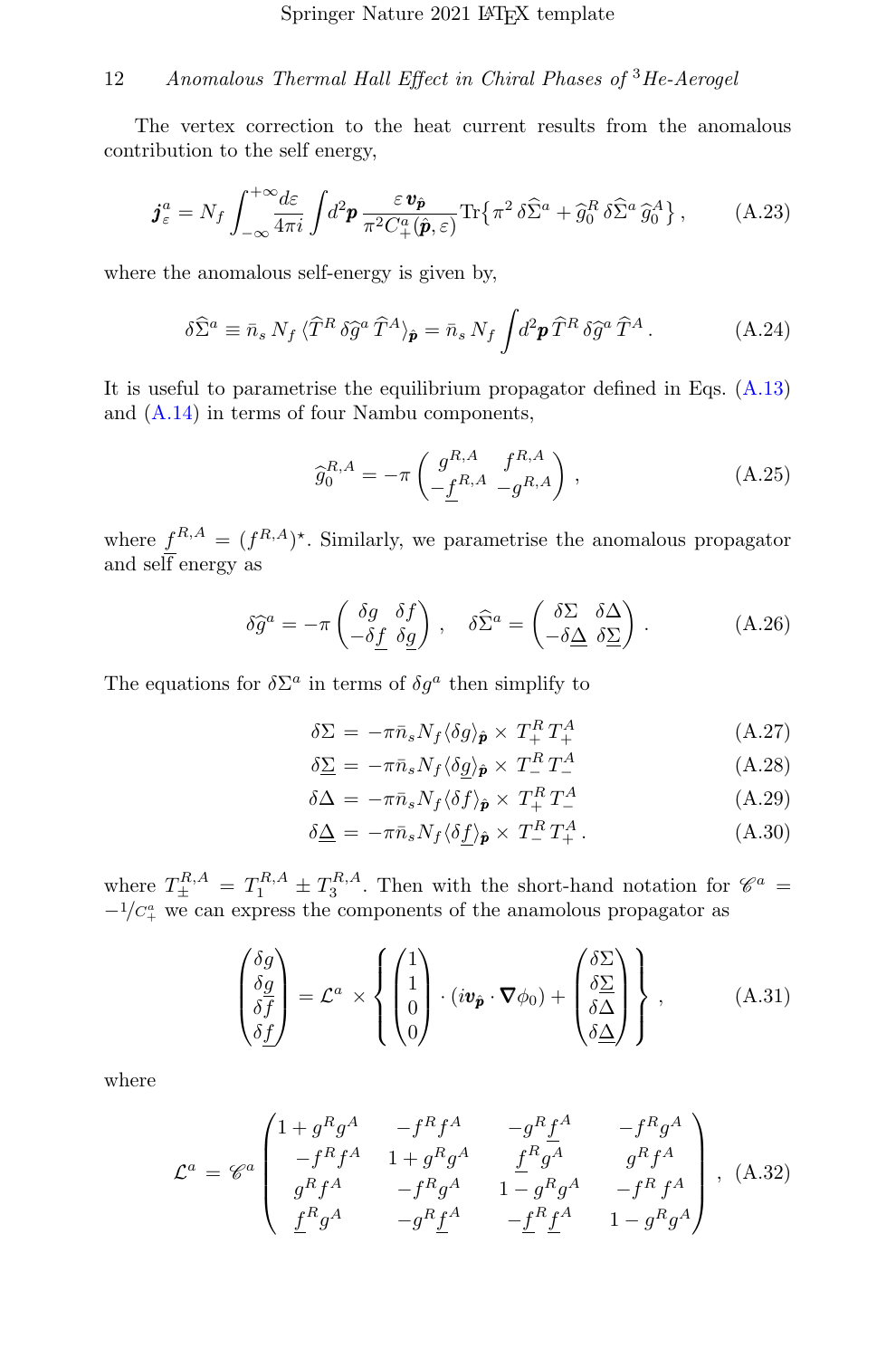The vertex correction to the heat current results from the anomalous contribution to the self energy,

$$
\boldsymbol{j}_{\varepsilon}^{a} = N_{f} \int_{-\infty}^{+\infty} \frac{d\varepsilon}{4\pi i} \int d^{2} \boldsymbol{p} \, \frac{\varepsilon \, \boldsymbol{v}_{\hat{\boldsymbol{p}}}}{\pi^{2} C_{+}^{a}(\hat{\boldsymbol{p}}, \varepsilon)} \text{Tr} \left\{ \pi^{2} \, \delta \widehat{\Sigma}^{a} + \widehat{g}_{0}^{R} \, \delta \widehat{\Sigma}^{a} \, \widehat{g}_{0}^{A} \right\},\tag{A.23}
$$

where the anomalous self-energy is given by,

$$
\delta \widehat{\Sigma}^a \equiv \bar{n}_s N_f \langle \widehat{T}^R \delta \widehat{g}^a \widehat{T}^A \rangle_{\widehat{\mathbf{p}}} = \bar{n}_s N_f \int d^2 \mathbf{p} \,\widehat{T}^R \,\delta \widehat{g}^a \,\widehat{T}^A \,. \tag{A.24}
$$

It is useful to parametrise the equilibrium propagator defined in Eqs. [\(A.13\)](#page-9-3) and [\(A.14\)](#page-9-3) in terms of four Nambu components,

$$
\widehat{g}_0^{R,A} = -\pi \left( \underbrace{g_{R,A}^{R,A} \quad f_{R,A}^{R,A}}_{-\underline{f}^{R,A} \quad -g_{R,A}^{R,A}} \right), \tag{A.25}
$$

where  $f^{R,A} = (f^{R,A})^*$ . Similarly, we parametrise the anomalous propagator and self energy as

$$
\delta \hat{g}^a = -\pi \begin{pmatrix} \delta g & \delta f \\ -\delta f & \delta g \end{pmatrix}, \quad \delta \hat{\Sigma}^a = \begin{pmatrix} \delta \Sigma & \delta \Delta \\ -\delta \Delta & \delta \Sigma \end{pmatrix} . \tag{A.26}
$$

The equations for  $\delta \Sigma^a$  in terms of  $\delta g^a$  then simplify to

<span id="page-11-1"></span>
$$
\delta \Sigma = -\pi \bar{n}_s N_f \langle \delta g \rangle_{\hat{\mathbf{p}}} \times T_+^R T_+^A \tag{A.27}
$$

$$
\delta \Sigma = -\pi \bar{n}_s N_f \langle \delta \underline{g} \rangle_{\hat{\mathbf{p}}} \times T_-^R T_-^A \tag{A.28}
$$

$$
\delta \Delta = -\pi \bar{n}_s N_f \langle \delta f \rangle_{\hat{\mathbf{p}}} \times T_+^R T_-^A \tag{A.29}
$$

$$
\delta \underline{\Delta} = -\pi \bar{n}_s N_f \langle \delta \underline{f} \rangle_{\hat{\mathbf{p}}} \times T^R_- T^A_+ . \tag{A.30}
$$

where  $T_{\pm}^{R,A} = T_1^{R,A} \pm T_3^{R,A}$ . Then with the short-hand notation for  $\mathscr{C}^a$  =  $-1/C_{+}^{a}$  we can express the components of the anamolous propagator as

<span id="page-11-0"></span>
$$
\begin{pmatrix} \delta g \\ \delta g \\ \delta f \\ \delta f \end{pmatrix} = \mathcal{L}^a \times \left\{ \begin{pmatrix} 1 \\ 1 \\ 0 \\ 0 \end{pmatrix} \cdot (i\mathbf{v}_{\hat{\mathbf{p}}} \cdot \nabla \phi_0) + \begin{pmatrix} \delta \Sigma \\ \delta \Sigma \\ \delta \Delta \\ \delta \Delta \end{pmatrix} \right\}, \tag{A.31}
$$

where

$$
\mathcal{L}^{a} = \mathscr{C}^{a} \begin{pmatrix} 1 + g^{R}g^{A} & -f^{R}f^{A} & -g^{R}\underline{f}^{A} & -f^{R}g^{A} \\ -f^{R}f^{A} & 1 + g^{R}g^{A} & \underline{f}^{R}g^{A} & g^{R}f^{A} \\ g^{R}f^{A} & -f^{R}g^{A} & 1 - g^{R}g^{A} & -f^{R}f^{A} \\ \underline{f}^{R}g^{A} & -g^{R}\underline{f}^{A} & -\underline{f}^{R}\underline{f}^{A} & 1 - g^{R}g^{A} \end{pmatrix}, (A.32)
$$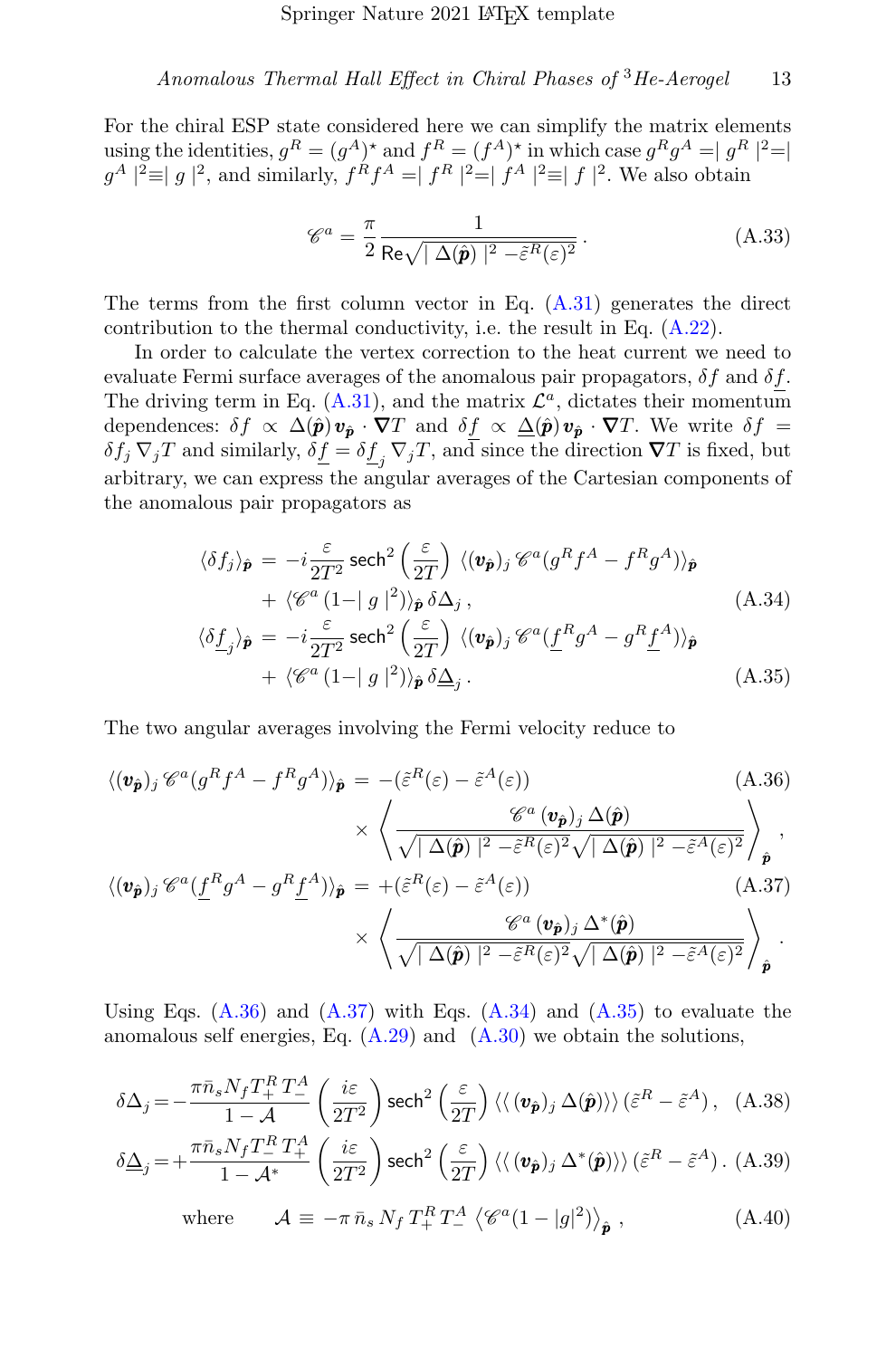For the chiral ESP state considered here we can simplify the matrix elements using the identities,  $g^R = (g^A)^*$  and  $f^R = (f^A)^*$  in which case  $g^R g^A = |g^R|^2 = |g^A|^2$  $g^A$  |<sup>2</sup> $\equiv$ |  $g$  |<sup>2</sup>, and similarly,  $f^R f^A = |f^R|^2 = |f^A|^2 \equiv |f|^2$ . We also obtain

$$
\mathscr{C}^a = \frac{\pi}{2} \frac{1}{\text{Re}\sqrt{|\Delta(\hat{\mathbf{p}})|^2 - \tilde{\varepsilon}^R(\varepsilon)^2}}.
$$
 (A.33)

The terms from the first column vector in Eq.  $(A.31)$  generates the direct contribution to the thermal conductivity, i.e. the result in Eq. [\(A.22\)](#page-10-0).

In order to calculate the vertex correction to the heat current we need to evaluate Fermi surface averages of the anomalous pair propagators,  $\delta f$  and  $\delta f$ . The driving term in Eq.  $(A.31)$ , and the matrix  $\mathcal{L}^a$ , dictates their momentum dependences:  $\delta f \propto \Delta(\hat{\mathbf{p}}) \mathbf{v}_{\hat{\mathbf{n}}} \cdot \nabla T$  and  $\delta f \propto \Delta(\hat{\mathbf{p}}) \mathbf{v}_{\hat{\mathbf{n}}} \cdot \nabla T$ . We write  $\delta f =$  $\delta f_j \nabla_j T$  and similarly,  $\delta \underline{f} = \delta \underline{f}_j \nabla_j T$ , and since the direction  $\nabla T$  is fixed, but arbitrary, we can express the angular averages of the Cartesian components of the anomalous pair propagators as

<span id="page-12-1"></span>
$$
\langle \delta f_j \rangle_{\hat{\mathbf{p}}} = -i \frac{\varepsilon}{2T^2} \operatorname{sech}^2 \left( \frac{\varepsilon}{2T} \right) \langle (\mathbf{v}_{\hat{\mathbf{p}}})_j \mathcal{C}^a (g^R f^A - f^R g^A) \rangle_{\hat{\mathbf{p}}}
$$
  
+  $\langle \mathcal{C}^a (1 - |g|^2) \rangle_{\hat{\mathbf{p}}} \delta \Delta_j$ ,   
 $\langle \delta f_j \rangle_{\hat{\mathbf{p}}} = -i \frac{\varepsilon}{2T^2} \operatorname{sech}^2 \left( \frac{\varepsilon}{2T} \right) \langle (\mathbf{v}_{\hat{\mathbf{p}}})_j \mathcal{C}^a (f^R g^A - g^R f^A) \rangle_{\hat{\mathbf{p}}}$   
+  $\langle \mathcal{C}^a (1 - |g|^2) \rangle_{\hat{\mathbf{p}}} \delta \Delta_j$ . (A.35)

The two angular averages involving the Fermi velocity reduce to

<span id="page-12-0"></span>
$$
\langle (\mathbf{v}_{\hat{\mathbf{p}}})_j \mathcal{C}^a (g^R f^A - f^R g^A) \rangle_{\hat{\mathbf{p}}} = -(\tilde{\varepsilon}^R (\varepsilon) - \tilde{\varepsilon}^A (\varepsilon)) \tag{A.36}
$$
\n
$$
\times \left\langle \frac{\mathcal{C}^a (\mathbf{v}_{\hat{\mathbf{p}}})_j \Delta(\hat{\mathbf{p}})}{\sqrt{|\Delta(\hat{\mathbf{p}})|^2 - \tilde{\varepsilon}^R (\varepsilon)^2} \sqrt{|\Delta(\hat{\mathbf{p}})|^2 - \tilde{\varepsilon}^A (\varepsilon)^2}} \right\rangle_{\hat{\mathbf{p}}},
$$
\n
$$
\langle (\mathbf{v}_{\hat{\mathbf{p}}})_j \mathcal{C}^a (\underline{f}^R g^A - g^R \underline{f}^A) \rangle_{\hat{\mathbf{p}}} = +(\tilde{\varepsilon}^R (\varepsilon) - \tilde{\varepsilon}^A (\varepsilon)) \tag{A.37}
$$

$$
\times \left\langle \frac{\mathscr{C}^{a} \left( \boldsymbol{v}_{\hat{\boldsymbol{p}}} \right)_{j} \Delta^{*}(\hat{\boldsymbol{p}})}{\sqrt{ \mid \Delta(\hat{\boldsymbol{p}}) \mid^{2} - \tilde{\varepsilon}^{R}(\varepsilon)^{2}} \sqrt{ \mid \Delta(\hat{\boldsymbol{p}}) \mid^{2} - \tilde{\varepsilon}^{A}(\varepsilon)^{2}}} \right\rangle_{\hat{\boldsymbol{p}}}.
$$

Using Eqs.  $(A.36)$  and  $(A.37)$  with Eqs.  $(A.34)$  and  $(A.35)$  to evaluate the anomalous self energies, Eq.  $(A.29)$  and  $(A.30)$  we obtain the solutions,

$$
\delta \Delta_j = -\frac{\pi \bar{n}_s N_f T_+^R T_-^A}{1 - \mathcal{A}} \left( \frac{i\varepsilon}{2T^2} \right) \operatorname{sech}^2 \left( \frac{\varepsilon}{2T} \right) \langle \langle (\mathbf{v}_{\hat{p}})_j \Delta(\hat{p}) \rangle \rangle (\tilde{\varepsilon}^R - \tilde{\varepsilon}^A), \quad \text{(A.38)}
$$

$$
\delta \underline{\Delta}_{j} = + \frac{\pi \bar{n}_{s} N_{f} T_{-}^{R} T_{+}^{A}}{1 - \mathcal{A}^{*}} \left( \frac{i \varepsilon}{2T^{2}} \right) \operatorname{sech}^{2} \left( \frac{\varepsilon}{2T} \right) \langle \langle (\mathbf{v}_{\hat{p}})_{j} \Delta^{*}(\hat{p}) \rangle \rangle (\tilde{\varepsilon}^{R} - \tilde{\varepsilon}^{A}). \tag{A.39}
$$

where 
$$
\mathcal{A} \equiv -\pi \,\bar{n}_s \, N_f \, T_+^R \, T_-^A \, \left\langle \mathcal{C}^a (1 - |g|^2) \right\rangle_{\hat{\mathbf{p}}}, \tag{A.40}
$$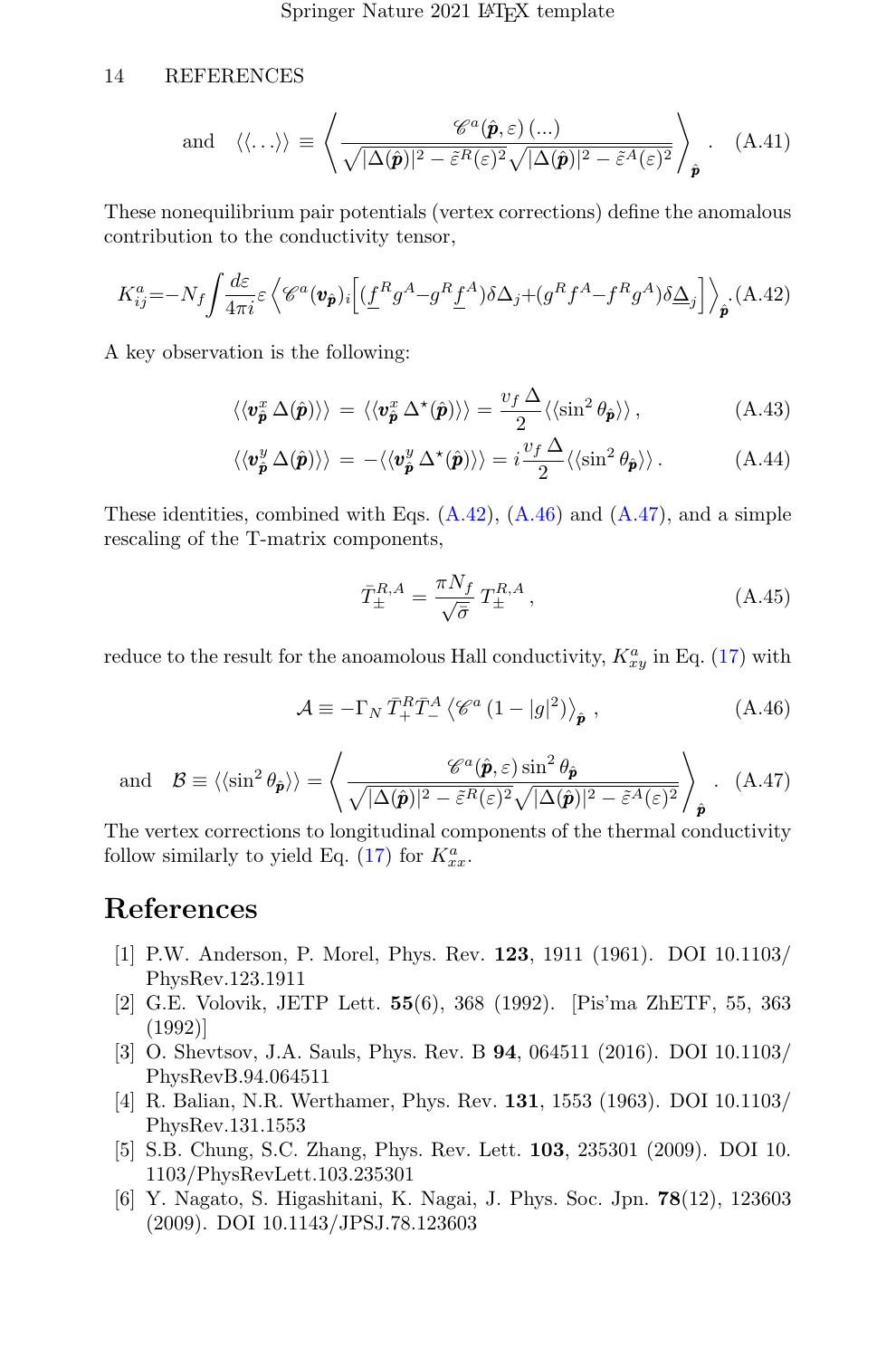### 14 REFERENCES

and 
$$
\langle \langle ... \rangle \rangle \equiv \left\langle \frac{\mathscr{C}^a(\hat{\mathbf{p}}, \varepsilon) (...)}{\sqrt{|\Delta(\hat{\mathbf{p}})|^2 - \tilde{\varepsilon}^R(\varepsilon)^2} \sqrt{|\Delta(\hat{\mathbf{p}})|^2 - \tilde{\varepsilon}^A(\varepsilon)^2}} \right\rangle_{\hat{\mathbf{p}}}.
$$
 (A.41)

These nonequilibrium pair potentials (vertex corrections) define the anomalous contribution to the conductivity tensor,

<span id="page-13-6"></span>
$$
K_{ij}^{a} = -N_{f} \int \frac{d\varepsilon}{4\pi i} \varepsilon \left\langle \mathcal{C}^{a}(\mathbf{v}_{\hat{\mathbf{p}}})_{i} \left[ \left( \underline{f}^{R} g^{A} - g^{R} \underline{f}^{A} \right) \delta \Delta_{j} + \left( g^{R} f^{A} - f^{R} g^{A} \right) \delta \underline{\Delta}_{j} \right] \right\rangle_{\hat{\mathbf{p}}} .
$$
 (A.42)

A key observation is the following:

$$
\langle\langle \mathbf{v}_{\hat{\mathbf{p}}}^{x} \Delta(\hat{\mathbf{p}}) \rangle\rangle = \langle\langle \mathbf{v}_{\hat{\mathbf{p}}}^{x} \Delta^{\star}(\hat{\mathbf{p}}) \rangle\rangle = \frac{v_{f} \Delta}{2} \langle\langle \sin^{2} \theta_{\hat{\mathbf{p}}} \rangle\rangle, \tag{A.43}
$$

$$
\langle \langle \mathbf{v}_{\hat{\mathbf{p}}}^{y} \Delta(\hat{\mathbf{p}}) \rangle \rangle = - \langle \langle \mathbf{v}_{\hat{\mathbf{p}}}^{y} \Delta^{\star}(\hat{\mathbf{p}}) \rangle \rangle = i \frac{v_f \Delta}{2} \langle \langle \sin^2 \theta_{\hat{\mathbf{p}}} \rangle \rangle. \tag{A.44}
$$

These identities, combined with Eqs.  $(A.42)$ ,  $(A.46)$  and  $(A.47)$ , and a simple rescaling of the T-matrix components,

$$
\bar{T}_{\pm}^{R,A} = \frac{\pi N_f}{\sqrt{\bar{\sigma}}} T_{\pm}^{R,A},\qquad (A.45)
$$

reduce to the result for the anoamolous Hall conductivity,  $K_{xy}^a$  in Eq. [\(17\)](#page-6-0) with

<span id="page-13-7"></span>
$$
\mathcal{A} \equiv -\Gamma_N \,\bar{T}_+^R \bar{T}_-^A \left\langle \mathcal{C}^a \left(1 - |g|^2\right) \right\rangle_{\hat{\mathbf{p}}},\tag{A.46}
$$

<span id="page-13-8"></span>and 
$$
\mathcal{B} \equiv \langle \langle \sin^2 \theta_{\hat{\mathbf{p}}} \rangle \rangle = \left\langle \frac{\mathscr{C}^a(\hat{\mathbf{p}}, \varepsilon) \sin^2 \theta_{\hat{\mathbf{p}}}}{\sqrt{|\Delta(\hat{\mathbf{p}})|^2 - \tilde{\varepsilon}^R(\varepsilon)^2} \sqrt{|\Delta(\hat{\mathbf{p}})|^2 - \tilde{\varepsilon}^A(\varepsilon)^2}} \right\rangle_{\hat{\mathbf{p}}}.
$$
 (A.47)

The vertex corrections to longitudinal components of the thermal conductivity follow similarly to yield Eq. [\(17\)](#page-6-0) for  $K_{xx}^a$ .

# References

- <span id="page-13-0"></span>[1] P.W. Anderson, P. Morel, Phys. Rev. 123, 1911 (1961). DOI 10.1103/ PhysRev.123.1911
- <span id="page-13-1"></span>[2] G.E. Volovik, JETP Lett. 55(6), 368 (1992). [Pis'ma ZhETF, 55, 363 (1992)]
- <span id="page-13-2"></span>[3] O. Shevtsov, J.A. Sauls, Phys. Rev. B 94, 064511 (2016). DOI 10.1103/ PhysRevB.94.064511
- <span id="page-13-3"></span>[4] R. Balian, N.R. Werthamer, Phys. Rev. 131, 1553 (1963). DOI 10.1103/ PhysRev.131.1553
- <span id="page-13-4"></span>[5] S.B. Chung, S.C. Zhang, Phys. Rev. Lett. 103, 235301 (2009). DOI 10. 1103/PhysRevLett.103.235301
- <span id="page-13-5"></span>[6] Y. Nagato, S. Higashitani, K. Nagai, J. Phys. Soc. Jpn. 78(12), 123603 (2009). DOI 10.1143/JPSJ.78.123603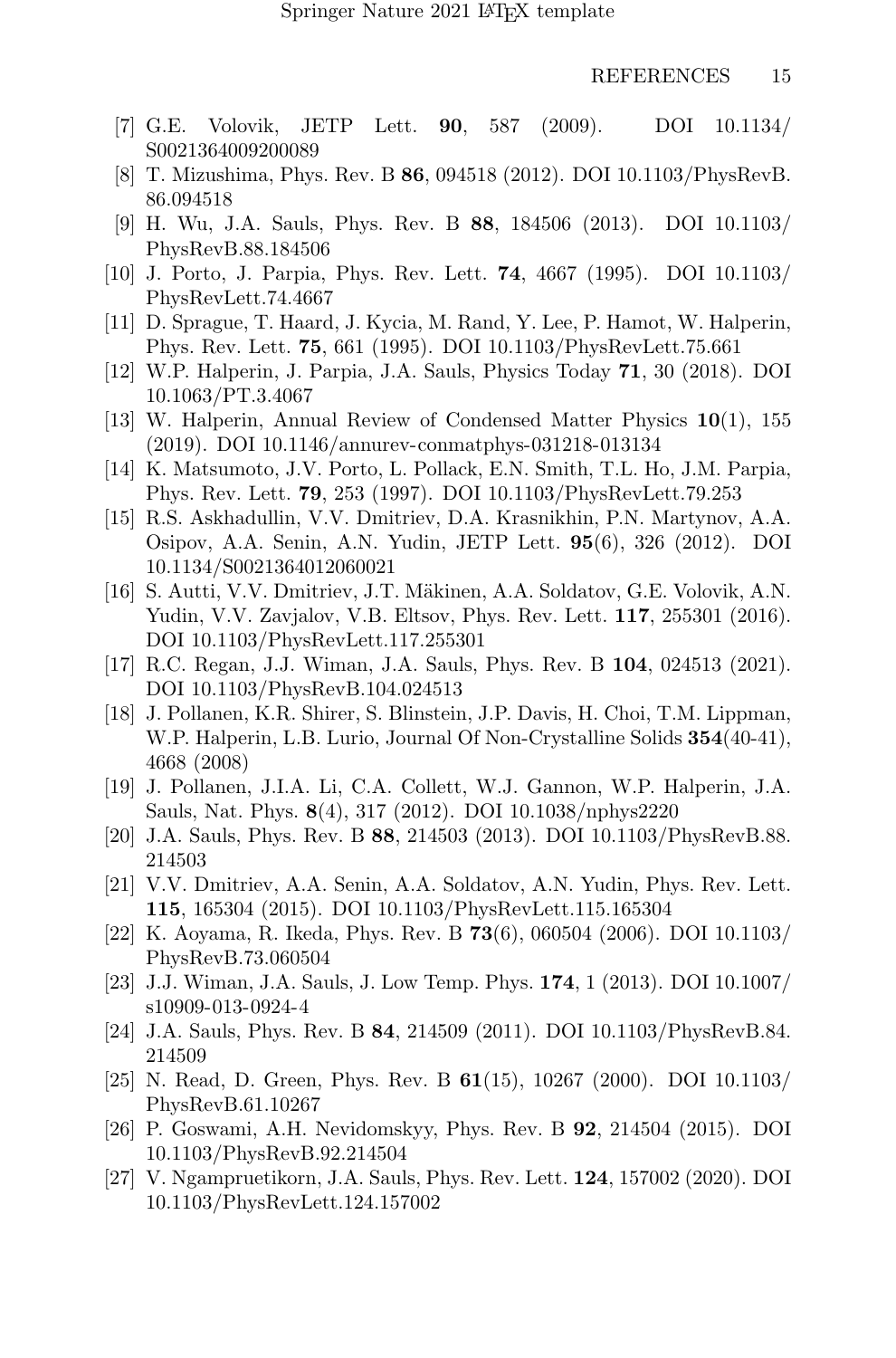- <span id="page-14-0"></span>[7] G.E. Volovik, JETP Lett. 90, 587 (2009). DOI 10.1134/ S0021364009200089
- <span id="page-14-1"></span>[8] T. Mizushima, Phys. Rev. B 86, 094518 (2012). DOI 10.1103/PhysRevB. 86.094518
- <span id="page-14-2"></span>[9] H. Wu, J.A. Sauls, Phys. Rev. B 88, 184506 (2013). DOI 10.1103/ PhysRevB.88.184506
- <span id="page-14-3"></span>[10] J. Porto, J. Parpia, Phys. Rev. Lett. 74, 4667 (1995). DOI 10.1103/ PhysRevLett.74.4667
- <span id="page-14-4"></span>[11] D. Sprague, T. Haard, J. Kycia, M. Rand, Y. Lee, P. Hamot, W. Halperin, Phys. Rev. Lett. 75, 661 (1995). DOI 10.1103/PhysRevLett.75.661
- <span id="page-14-5"></span>[12] W.P. Halperin, J. Parpia, J.A. Sauls, Physics Today 71, 30 (2018). DOI 10.1063/PT.3.4067
- <span id="page-14-6"></span>[13] W. Halperin, Annual Review of Condensed Matter Physics 10(1), 155 (2019). DOI 10.1146/annurev-conmatphys-031218-013134
- <span id="page-14-7"></span>[14] K. Matsumoto, J.V. Porto, L. Pollack, E.N. Smith, T.L. Ho, J.M. Parpia, Phys. Rev. Lett. 79, 253 (1997). DOI 10.1103/PhysRevLett.79.253
- <span id="page-14-8"></span>[15] R.S. Askhadullin, V.V. Dmitriev, D.A. Krasnikhin, P.N. Martynov, A.A. Osipov, A.A. Senin, A.N. Yudin, JETP Lett. 95(6), 326 (2012). DOI 10.1134/S0021364012060021
- <span id="page-14-9"></span>[16] S. Autti, V.V. Dmitriev, J.T. Mäkinen, A.A. Soldatov, G.E. Volovik, A.N. Yudin, V.V. Zavjalov, V.B. Eltsov, Phys. Rev. Lett. 117, 255301 (2016). DOI 10.1103/PhysRevLett.117.255301
- <span id="page-14-10"></span>[17] R.C. Regan, J.J. Wiman, J.A. Sauls, Phys. Rev. B 104, 024513 (2021). DOI 10.1103/PhysRevB.104.024513
- <span id="page-14-11"></span>[18] J. Pollanen, K.R. Shirer, S. Blinstein, J.P. Davis, H. Choi, T.M. Lippman, W.P. Halperin, L.B. Lurio, Journal Of Non-Crystalline Solids 354(40-41), 4668 (2008)
- <span id="page-14-12"></span>[19] J. Pollanen, J.I.A. Li, C.A. Collett, W.J. Gannon, W.P. Halperin, J.A. Sauls, Nat. Phys. 8(4), 317 (2012). DOI 10.1038/nphys2220
- <span id="page-14-13"></span>[20] J.A. Sauls, Phys. Rev. B 88, 214503 (2013). DOI 10.1103/PhysRevB.88. 214503
- <span id="page-14-14"></span>[21] V.V. Dmitriev, A.A. Senin, A.A. Soldatov, A.N. Yudin, Phys. Rev. Lett. 115, 165304 (2015). DOI 10.1103/PhysRevLett.115.165304
- <span id="page-14-15"></span>[22] K. Aoyama, R. Ikeda, Phys. Rev. B 73(6), 060504 (2006). DOI 10.1103/ PhysRevB.73.060504
- <span id="page-14-16"></span>[23] J.J. Wiman, J.A. Sauls, J. Low Temp. Phys. 174, 1 (2013). DOI 10.1007/ s10909-013-0924-4
- <span id="page-14-17"></span>[24] J.A. Sauls, Phys. Rev. B 84, 214509 (2011). DOI 10.1103/PhysRevB.84. 214509
- <span id="page-14-18"></span>[25] N. Read, D. Green, Phys. Rev. B 61(15), 10267 (2000). DOI 10.1103/ PhysRevB.61.10267
- <span id="page-14-19"></span>[26] P. Goswami, A.H. Nevidomskyy, Phys. Rev. B 92, 214504 (2015). DOI 10.1103/PhysRevB.92.214504
- <span id="page-14-20"></span>[27] V. Ngampruetikorn, J.A. Sauls, Phys. Rev. Lett. 124, 157002 (2020). DOI 10.1103/PhysRevLett.124.157002